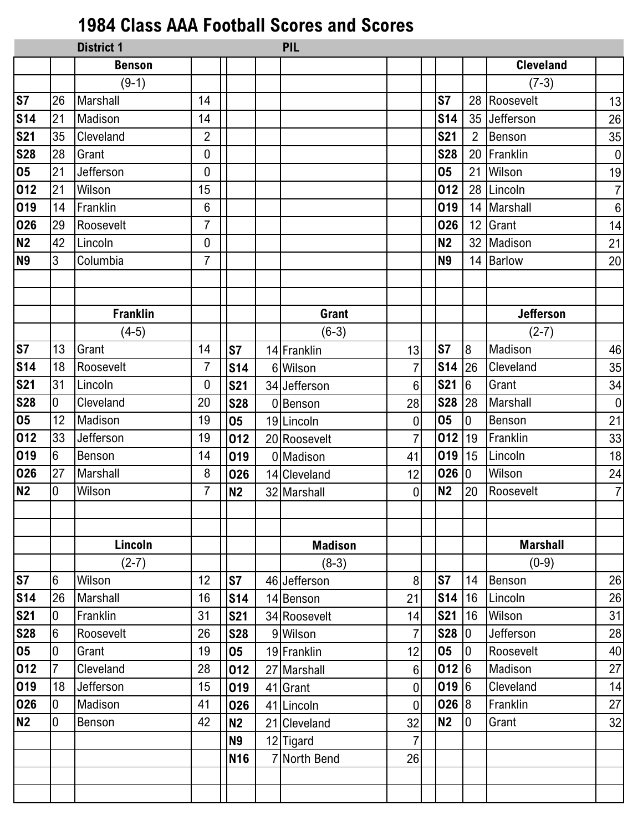## **1984 Class AAA Football Scores and Scores**

|                        |                 | <b>District 1</b> |                |                | PIL            |                  |                |                  |                  |                  |
|------------------------|-----------------|-------------------|----------------|----------------|----------------|------------------|----------------|------------------|------------------|------------------|
|                        |                 | <b>Benson</b>     |                |                |                |                  |                |                  | <b>Cleveland</b> |                  |
|                        |                 | $(9-1)$           |                |                |                |                  |                |                  | $(7-3)$          |                  |
| $\overline{\text{S}7}$ | 26              | Marshall          | 14             |                |                |                  | S <sub>7</sub> |                  | 28 Roosevelt     | 13               |
| <b>S14</b>             | 21              | Madison           | 14             |                |                |                  | <b>S14</b>     | 35               | Jefferson        | 26               |
| <b>S21</b>             | 35              | Cleveland         | $\overline{2}$ |                |                |                  | <b>S21</b>     | $\overline{2}$   | Benson           | 35               |
| <b>S28</b>             | 28              | Grant             | 0              |                |                |                  | <b>S28</b>     | 20               | Franklin         | $\boldsymbol{0}$ |
| 05                     | 21              | Jefferson         | 0              |                |                |                  | 05             | 21               | Wilson           | 19               |
| 012                    | 21              | Wilson            | 15             |                |                |                  | 012            |                  | 28 Lincoln       | $\overline{7}$   |
| 019                    | 14              | Franklin          | 6              |                |                |                  | 019            |                  | 14 Marshall      | $\,6\,$          |
| 026                    | 29              | Roosevelt         | $\overline{7}$ |                |                |                  | 026            |                  | 12 Grant         | 14               |
| <b>N2</b>              | 42              | Lincoln           | 0              |                |                |                  | <b>N2</b>      |                  | 32 Madison       | 21               |
| <b>N9</b>              | 3               | Columbia          | $\overline{7}$ |                |                |                  | <b>N9</b>      |                  | 14 Barlow        | 20               |
|                        |                 |                   |                |                |                |                  |                |                  |                  |                  |
|                        |                 |                   |                |                |                |                  |                |                  |                  |                  |
|                        |                 | <b>Franklin</b>   |                |                | <b>Grant</b>   |                  |                |                  | <b>Jefferson</b> |                  |
|                        |                 | $(4-5)$           |                |                | $(6-3)$        |                  |                |                  | $(2-7)$          |                  |
| $\overline{\text{S}7}$ | 13              | Grant             | 14             | <b>S7</b>      | 14 Franklin    | 13               | <b>S7</b>      | 8                | Madison          | 46               |
| <b>S14</b>             | 18              | Roosevelt         | $\overline{7}$ | <b>S14</b>     | 6 Wilson       | 7                | <b>S14</b>     | 26               | Cleveland        | 35               |
| <b>S21</b>             | 31              | Lincoln           | 0              | <b>S21</b>     | 34 Jefferson   | $6\phantom{1}$   | <b>S21</b>     | $6\phantom{.}6$  | Grant            | 34               |
| <b>S28</b>             | 0               | Cleveland         | 20             | <b>S28</b>     | 0 Benson       | 28               | <b>S28</b>     | 28               | Marshall         | $\mathbf 0$      |
| 05                     | 12              | Madison           | 19             | 05             | 19 Lincoln     | $\boldsymbol{0}$ | 05             | $\mathbf 0$      | Benson           | 21               |
| 012                    | 33              | Jefferson         | 19             | 012            | 20 Roosevelt   | $\overline{7}$   | 012            | 19               | Franklin         | 33               |
| 019                    | $6\phantom{1}$  | Benson            | 14             | 019            | 0 Madison      | 41               | 019            | 15               | Lincoln          | 18               |
| 026                    | 27              | Marshall          | 8              | 026            | 14 Cleveland   | 12               | 026            | $\boldsymbol{0}$ | Wilson           | 24               |
| N2                     | 0               | Wilson            | $\overline{7}$ | N <sub>2</sub> | 32 Marshall    | $\overline{0}$   | N <sub>2</sub> | 20               | Roosevelt        | $\overline{7}$   |
|                        |                 |                   |                |                |                |                  |                |                  |                  |                  |
|                        |                 |                   |                |                |                |                  |                |                  |                  |                  |
|                        |                 | Lincoln           |                |                | <b>Madison</b> |                  |                |                  | <b>Marshall</b>  |                  |
|                        |                 | $(2-7)$           |                |                | $(8-3)$        |                  |                |                  | $(0-9)$          |                  |
| <b>S7</b>              | 6               | Wilson            | 12             | <b>S7</b>      | 46 Jefferson   | 8                | S7             | 14               | Benson           | 26               |
| S <sub>14</sub>        | 26              | Marshall          | 16             | <b>S14</b>     | 14 Benson      | 21               | <b>S14</b>     | 16               | Lincoln          | 26               |
| <b>S21</b>             | 0               | Franklin          | 31             | <b>S21</b>     | 34 Roosevelt   | 14               | <b>S21</b>     | 16               | Wilson           | 31               |
| <b>S28</b>             | $6\overline{6}$ | Roosevelt         | 26             | <b>S28</b>     | 9 Wilson       | $\overline{7}$   | <b>S28</b>     | $\overline{0}$   | Jefferson        | 28               |
| 05                     | 0               | Grant             | 19             | 05             | 19 Franklin    | 12               | 05             | $\boldsymbol{0}$ | Roosevelt        | 40               |
| 012                    | 7               | Cleveland         | 28             | 012            | 27 Marshall    | $\,6\,$          | 012            | $6\overline{6}$  | Madison          | 27               |
| 019                    | 18              | Jefferson         | 15             | 019            | 41 Grant       | 0                | 019            | $6\overline{6}$  | Cleveland        | 14               |
| 026                    | 0               | Madison           | 41             | 026            | 41 Lincoln     | 0                | 026            | $\overline{8}$   | Franklin         | 27               |
| N <sub>2</sub>         | 0               | Benson            | 42             | <b>N2</b>      | 21 Cleveland   | 32               | <b>N2</b>      | $\overline{0}$   | Grant            | 32               |
|                        |                 |                   |                | <b>N9</b>      | 12 Tigard      | $\overline{7}$   |                |                  |                  |                  |
|                        |                 |                   |                | <b>N16</b>     | 7 North Bend   | 26               |                |                  |                  |                  |
|                        |                 |                   |                |                |                |                  |                |                  |                  |                  |
|                        |                 |                   |                |                |                |                  |                |                  |                  |                  |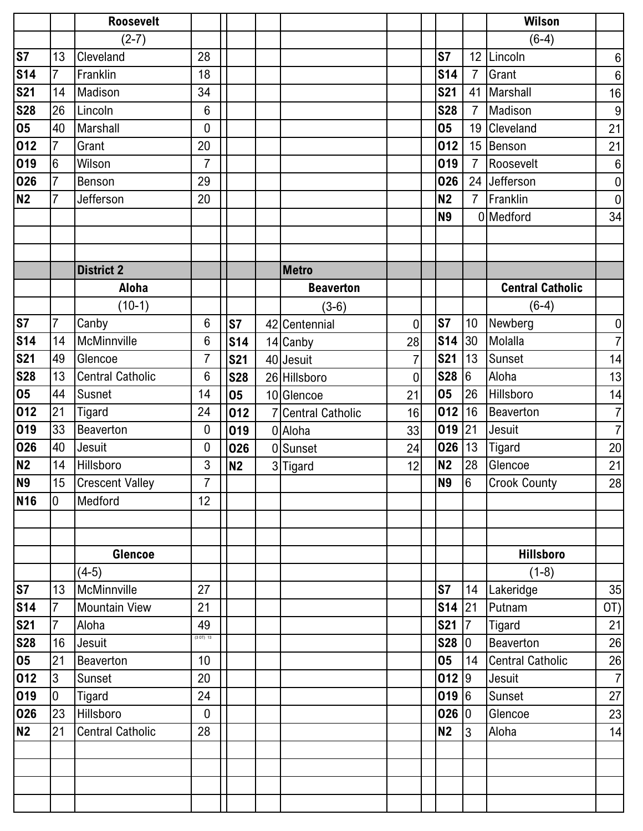|                        |                 | <b>Roosevelt</b>        |                  |                 |                    |                |                      |                 | <b>Wilson</b>           |                  |
|------------------------|-----------------|-------------------------|------------------|-----------------|--------------------|----------------|----------------------|-----------------|-------------------------|------------------|
|                        |                 | $(2-7)$                 |                  |                 |                    |                |                      |                 | $(6-4)$                 |                  |
| $\overline{\text{S}7}$ | 13              | Cleveland               | 28               |                 |                    |                | <b>S7</b>            |                 | 12 Lincoln              | $\boldsymbol{6}$ |
| <b>S14</b>             | $\overline{7}$  | Franklin                | 18               |                 |                    |                | <b>S14</b>           | $\overline{7}$  | Grant                   | $\,6\,$          |
| <b>S21</b>             | 14              | Madison                 | 34               |                 |                    |                | <b>S21</b>           | 41              | Marshall                | 16               |
| <b>S28</b>             | 26              | Lincoln                 | 6                |                 |                    |                | <b>S28</b>           | $\overline{7}$  | Madison                 | $\boldsymbol{9}$ |
| 05                     | 40              | Marshall                | $\mathbf 0$      |                 |                    |                | 05                   |                 | 19 Cleveland            | 21               |
| 012                    | $\overline{7}$  | Grant                   | 20               |                 |                    |                | 012                  |                 | 15 Benson               | 21               |
| 019                    | $6\phantom{.}6$ | Wilson                  | $\overline{7}$   |                 |                    |                | 019                  | $\overline{7}$  | Roosevelt               | $\boldsymbol{6}$ |
| 026                    | $\overline{7}$  | Benson                  | 29               |                 |                    |                | 026                  |                 | 24 Jefferson            | $\pmb{0}$        |
| N2                     | $\overline{7}$  | Jefferson               | 20               |                 |                    |                | <b>N2</b>            | $\overline{7}$  | Franklin                | $\overline{0}$   |
|                        |                 |                         |                  |                 |                    |                | <b>N9</b>            |                 | 0 Medford               | 34               |
|                        |                 |                         |                  |                 |                    |                |                      |                 |                         |                  |
|                        |                 |                         |                  |                 |                    |                |                      |                 |                         |                  |
|                        |                 | <b>District 2</b>       |                  |                 | <b>Metro</b>       |                |                      |                 |                         |                  |
|                        |                 | Aloha                   |                  |                 | <b>Beaverton</b>   |                |                      |                 | <b>Central Catholic</b> |                  |
|                        |                 | $(10-1)$                |                  |                 | $(3-6)$            |                |                      |                 | $(6-4)$                 |                  |
| <b>S7</b>              | 7               | Canby                   | 6                | S7              | 42 Centennial      | 0              | <b>S7</b>            | 10              | Newberg                 | $\pmb{0}$        |
| <b>S14</b>             | 14              | McMinnville             | 6                | S <sub>14</sub> | 14 Canby           | 28             | <b>S14</b>           | 30              | Molalla                 | $\overline{7}$   |
| <b>S21</b>             | 49              | Glencoe                 | $\overline{7}$   | <b>S21</b>      | 40 Jesuit          | $\overline{7}$ | <b>S21</b>           | 13              | Sunset                  | 14               |
| <b>S28</b>             | 13              | <b>Central Catholic</b> | 6                | <b>S28</b>      | 26 Hillsboro       | 0              | <b>S28</b>           | $6\phantom{.}6$ | Aloha                   | 13               |
| 05                     | 44              | Susnet                  | 14               | 05              | 10 Glencoe         | 21             | 05                   | 26              | Hillsboro               | 14               |
| 012                    | 21              | <b>Tigard</b>           | 24               | 012             | 7 Central Catholic | 16             | 012                  | 16              | <b>Beaverton</b>        | $\overline{7}$   |
| 019                    | 33              | <b>Beaverton</b>        | 0                | 019             | 0 Aloha            | 33             | $019$ 21             |                 | Jesuit                  | $\overline{7}$   |
| 026                    | 40              | Jesuit                  | 0                | 026             | 0 Sunset           | 24             | 026                  | 13              | <b>Tigard</b>           | 20               |
| N2                     | 14              | Hillsboro               | 3                | N <sub>2</sub>  | 3 Tigard           | 12             | <b>N2</b>            | 28              | Glencoe                 | 21               |
| N <sub>9</sub>         | 15              | <b>Crescent Valley</b>  | $\overline{7}$   |                 |                    |                | <b>N9</b>            | $6\overline{6}$ | <b>Crook County</b>     | 28               |
| <b>N16</b>             | 10              | Medford                 | 12               |                 |                    |                |                      |                 |                         |                  |
|                        |                 |                         |                  |                 |                    |                |                      |                 |                         |                  |
|                        |                 |                         |                  |                 |                    |                |                      |                 |                         |                  |
|                        |                 | <b>Glencoe</b>          |                  |                 |                    |                |                      |                 | <b>Hillsboro</b>        |                  |
|                        |                 | $(4-5)$                 |                  |                 |                    |                |                      |                 | $(1-8)$                 |                  |
| <b>S7</b>              | 13              | McMinnville             | 27               |                 |                    |                | S <sub>7</sub>       | 14              | Lakeridge               | 35               |
| <b>S14</b>             | $\overline{7}$  | <b>Mountain View</b>    | 21               |                 |                    |                | $$14$ 21             |                 | Putnam                  | OT)              |
| <b>S21</b>             | $\overline{7}$  | Aloha                   | 49<br>(3 O T) 13 |                 |                    |                | $S21$ $\overline{7}$ |                 | Tigard                  | 21               |
| <b>S28</b>             | 16              | Jesuit                  |                  |                 |                    |                | S28 0                |                 | Beaverton               | 26               |
| 05                     | 21              | Beaverton               | 10               |                 |                    |                | 05                   | 14              | Central Catholic        | $26\,$           |
| 012                    | $\overline{3}$  | Sunset                  | 20               |                 |                    |                | 012 9                |                 | Jesuit                  | $\overline{7}$   |
| 019                    | $\overline{0}$  | Tigard                  | 24               |                 |                    |                | 019 6                |                 | Sunset                  | 27               |
| 026                    | 23              | Hillsboro               | $\mathbf 0$      |                 |                    |                | 026 0                |                 | Glencoe                 | 23               |
| <b>N2</b>              | 21              | <b>Central Catholic</b> | 28               |                 |                    |                | <b>N2</b>            | $\overline{3}$  | Aloha                   | 14               |
|                        |                 |                         |                  |                 |                    |                |                      |                 |                         |                  |
|                        |                 |                         |                  |                 |                    |                |                      |                 |                         |                  |
|                        |                 |                         |                  |                 |                    |                |                      |                 |                         |                  |
|                        |                 |                         |                  |                 |                    |                |                      |                 |                         |                  |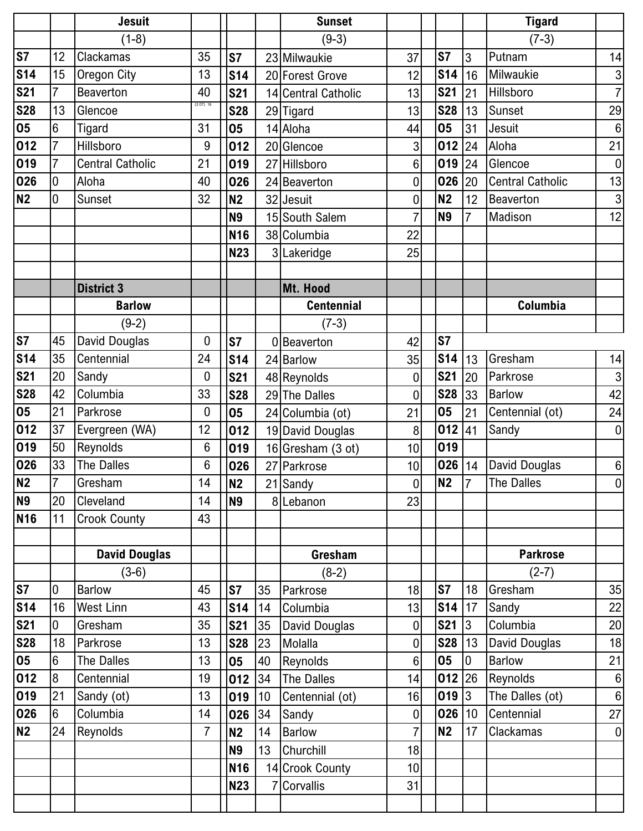|                 |                 | <b>Jesuit</b>           |                  |                 |    | <b>Sunset</b>       |                  |                |                | <b>Tigard</b>           |                  |
|-----------------|-----------------|-------------------------|------------------|-----------------|----|---------------------|------------------|----------------|----------------|-------------------------|------------------|
|                 |                 | $(1-8)$                 |                  |                 |    | $(9-3)$             |                  |                |                | $(7-3)$                 |                  |
| <b>S7</b>       | 12              | Clackamas               | 35               | <b>S7</b>       |    | 23 Milwaukie        | 37               | S7             | $\overline{3}$ | Putnam                  | 14               |
| <b>S14</b>      | 15              | <b>Oregon City</b>      | 13               | <b>S14</b>      |    | 20 Forest Grove     | 12               | <b>S14</b>     | 16             | Milwaukie               | $\sqrt{3}$       |
| <b>S21</b>      | $\overline{7}$  | <b>Beaverton</b>        | 40               | <b>S21</b>      |    | 14 Central Catholic | 13               | <b>S21</b>     | 21             | Hillsboro               | $\overline{7}$   |
| <b>S28</b>      | 13              | Glencoe                 | (3 O T) 16       | <b>S28</b>      |    | 29 Tigard           | 13               | <b>S28</b>     | 13             | Sunset                  | 29               |
| 05              | 6               | Tigard                  | 31               | 05              |    | 14 Aloha            | 44               | 05             | 31             | Jesuit                  | $\,6\,$          |
| 012             | $\overline{7}$  | Hillsboro               | 9                | 012             |    | 20 Glencoe          | 3                | 012            | 24             | Aloha                   | 21               |
| 019             | $\overline{7}$  | <b>Central Catholic</b> | 21               | 019             |    | 27 Hillsboro        | 6                | 019            | 24             | Glencoe                 | $\pmb{0}$        |
| 026             | 0               | Aloha                   | 40               | 026             |    | 24 Beaverton        | 0                | 026            | 20             | <b>Central Catholic</b> | 13               |
| <b>N2</b>       | 0               | Sunset                  | 32               | N <sub>2</sub>  |    | 32 Jesuit           | $\overline{0}$   | <b>N2</b>      | 12             | Beaverton               | $\mathsf 3$      |
|                 |                 |                         |                  | <b>N9</b>       |    | 15 South Salem      |                  | <b>N9</b>      | $\overline{7}$ | Madison                 | 12               |
|                 |                 |                         |                  | N <sub>16</sub> |    | 38 Columbia         | 22               |                |                |                         |                  |
|                 |                 |                         |                  | <b>N23</b>      | 3  | Lakeridge           | 25               |                |                |                         |                  |
|                 |                 |                         |                  |                 |    |                     |                  |                |                |                         |                  |
|                 |                 | <b>District 3</b>       |                  |                 |    | Mt. Hood            |                  |                |                |                         |                  |
|                 |                 | <b>Barlow</b>           |                  |                 |    | <b>Centennial</b>   |                  |                |                | Columbia                |                  |
|                 |                 | $(9-2)$                 |                  |                 |    | $(7-3)$             |                  |                |                |                         |                  |
| <b>S7</b>       | 45              | David Douglas           | 0                | <b>S7</b>       |    | Beaverton           | 42               | S7             |                |                         |                  |
| <b>S14</b>      | 35              | Centennial              | 24               | <b>S14</b>      |    | 24 Barlow           | 35               | <b>S14</b>     | 13             | Gresham                 | 14               |
| <b>S21</b>      | 20              | Sandy                   | $\boldsymbol{0}$ | <b>S21</b>      |    | 48 Reynolds         | $\mathbf 0$      | <b>S21</b>     | 20             | Parkrose                | $\mathbf{3}$     |
| <b>S28</b>      | 42              | Columbia                | 33               | <b>S28</b>      |    | 29 The Dalles       | $\overline{0}$   | <b>S28</b>     | 33             | <b>Barlow</b>           | 42               |
| 05              | 21              | Parkrose                | 0                | 05              |    | 24 Columbia (ot)    | 21               | 05             | 21             | Centennial (ot)         | 24               |
| 012             | 37              | Evergreen (WA)          | 12               | 012             |    | 19 David Douglas    | 8                | 012            | 41             | Sandy                   | $\boldsymbol{0}$ |
| 019             | 50              | <b>Reynolds</b>         | 6                | 019             |    | 16 Gresham (3 ot)   | 10               | 019            |                |                         |                  |
| 026             | 33              | The Dalles              | $6\phantom{1}6$  | 026             |    | 27 Parkrose         | 10 <sup>1</sup>  | 026   14       |                | David Douglas           | $\boldsymbol{6}$ |
| <b>N2</b>       | $\overline{7}$  | Gresham                 | 14               | N <sub>2</sub>  |    | 21 Sandy            | $\overline{0}$   | N <sub>2</sub> | $\overline{7}$ | The Dalles              | $\overline{0}$   |
| <b>N9</b>       | 20              | Cleveland               | 14               | <b>N9</b>       |    | 8 Lebanon           | 23               |                |                |                         |                  |
| N <sub>16</sub> | 11              | <b>Crook County</b>     | 43               |                 |    |                     |                  |                |                |                         |                  |
|                 |                 |                         |                  |                 |    |                     |                  |                |                |                         |                  |
|                 |                 | <b>David Douglas</b>    |                  |                 |    | Gresham             |                  |                |                | <b>Parkrose</b>         |                  |
|                 |                 | $(3-6)$                 |                  |                 |    | $(8-2)$             |                  |                |                | $(2-7)$                 |                  |
| <b>S7</b>       | $\mathbf 0$     | <b>Barlow</b>           | 45               | <b>S7</b>       | 35 | Parkrose            | 18               | S7             | 18             | Gresham                 | 35               |
| <b>S14</b>      | 16              | <b>West Linn</b>        | 43               | <b>S14</b>      | 14 | Columbia            | 13               | <b>S14</b> 17  |                | Sandy                   | 22               |
| <b>S21</b>      | 0               | Gresham                 | 35               | <b>S21</b>      | 35 | David Douglas       | $\mathbf 0$      | S21 3          |                | Columbia                | 20               |
| <b>S28</b>      | 18              | Parkrose                | 13               | <b>S28</b>      | 23 | Molalla             | 0                | $S28$  13      |                | David Douglas           | 18               |
| 05              | $6\phantom{.}6$ | The Dalles              | 13               | 05              | 40 | Reynolds            | $6 \overline{6}$ | 05             | 0              | <b>Barlow</b>           | 21               |
| 012             | 8               | Centennial              | 19               | 012             | 34 | The Dalles          | 14               | $012$ 26       |                | Reynolds                | $6 \overline{6}$ |
| 019             | 21              | Sandy (ot)              | 13               | 019             | 10 | Centennial (ot)     | 16               | 019 3          |                | The Dalles (ot)         | $\boldsymbol{6}$ |
| 026             | $6\phantom{.}6$ | Columbia                | 14               | 026             | 34 | Sandy               | $\mathbf 0$      | $026$   10     |                | Centennial              | 27               |
| <b>N2</b>       | 24              | Reynolds                | $\overline{7}$   | <b>N2</b>       | 14 | <b>Barlow</b>       |                  | <b>N2</b>      | 17             | Clackamas               | $\overline{0}$   |
|                 |                 |                         |                  | <b>N9</b>       | 13 | Churchill           | 18               |                |                |                         |                  |
|                 |                 |                         |                  | <b>N16</b>      |    | 14 Crook County     | 10               |                |                |                         |                  |
|                 |                 |                         |                  | <b>N23</b>      |    | Corvallis           | 31               |                |                |                         |                  |
|                 |                 |                         |                  |                 |    |                     |                  |                |                |                         |                  |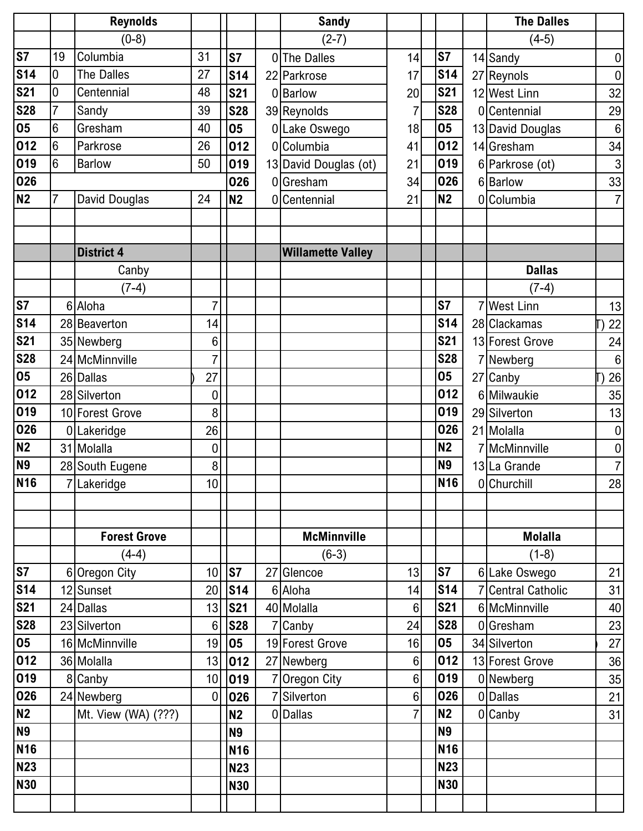|            |                 | <b>Reynolds</b>       |                 |            |    | <b>Sandy</b>                 |                       |                  | <b>The Dalles</b>               |                  |
|------------|-----------------|-----------------------|-----------------|------------|----|------------------------------|-----------------------|------------------|---------------------------------|------------------|
|            |                 | $(0-8)$               |                 |            |    | $(2-7)$                      |                       |                  | $(4-5)$                         |                  |
| <b>S7</b>  | 19              | Columbia              | 31              | S7         |    | 0 The Dalles                 | 14                    | S7               | 14 Sandy                        | $\boldsymbol{0}$ |
| <b>S14</b> | $\overline{0}$  | <b>The Dalles</b>     | 27              | <b>S14</b> |    | 22 Parkrose                  | 17                    | <b>S14</b>       | 27 Reynols                      | $\boldsymbol{0}$ |
| <b>S21</b> | 0               | Centennial            | 48              | <b>S21</b> |    | 0 Barlow                     | 20                    | <b>S21</b>       | 12 West Linn                    | 32               |
| <b>S28</b> | $\overline{7}$  | Sandy                 | 39              | <b>S28</b> |    | 39 Reynolds                  | 7                     | <b>S28</b>       | 0 Centennial                    | 29               |
| 05         | $6\phantom{.}6$ | Gresham               | 40              | 05         |    | 0 Lake Oswego                | 18                    | 05               | 13 David Douglas                | $6\phantom{1}6$  |
| 012        | 6               | Parkrose              | 26              | 012        |    | 0 Columbia                   | 41                    | 012              | 14 Gresham                      | 34               |
| 019        | 6               | <b>Barlow</b>         | 50              | 019        |    | 13 David Douglas (ot)        | 21                    | 019              | 6 Parkrose (ot)                 | $\mathbf{3}$     |
| 026        |                 |                       |                 | 026        |    | 0 Gresham                    | 34                    | 026              | 6 Barlow                        | 33               |
| <b>N2</b>  | $\overline{7}$  | David Douglas         | 24              | <b>N2</b>  |    | 0 Centennial                 | 21                    | <b>N2</b>        | 0 Columbia                      | $\overline{7}$   |
|            |                 |                       |                 |            |    |                              |                       |                  |                                 |                  |
|            |                 |                       |                 |            |    |                              |                       |                  |                                 |                  |
|            |                 | <b>District 4</b>     |                 |            |    | <b>Willamette Valley</b>     |                       |                  |                                 |                  |
|            |                 | Canby                 |                 |            |    |                              |                       |                  | <b>Dallas</b>                   |                  |
|            |                 | $(7-4)$               |                 |            |    |                              |                       |                  | $(7-4)$                         |                  |
| <b>S7</b>  |                 | 6 Aloha               | 7               |            |    |                              |                       | S7               | 7 West Linn                     | 13               |
| <b>S14</b> |                 | 28 Beaverton          | 14              |            |    |                              |                       | <b>S14</b>       | 28 Clackamas                    | 22               |
| <b>S21</b> |                 | 35 Newberg            | 6               |            |    |                              |                       | <b>S21</b>       | 13 Forest Grove                 | 24               |
| <b>S28</b> |                 | 24 McMinnville        | 7               |            |    |                              |                       | <b>S28</b>       | 7 Newberg                       | $\,6\,$          |
| 05         |                 | 26 Dallas             | 27              |            |    |                              |                       | 05               | 27 Canby                        | 26               |
| 012        |                 | 28 Silverton          | 0               |            |    |                              |                       | 012              | 6 Milwaukie                     | 35               |
| 019        |                 | 10 Forest Grove       | 8               |            |    |                              |                       | 019              | 29 Silverton                    | 13               |
| 026        |                 | 0 Lakeridge           | 26              |            |    |                              |                       | 026              | 21 Molalla                      | $\boldsymbol{0}$ |
| <b>N2</b>  |                 | 31 Molalla            | 0               |            |    |                              |                       | <b>N2</b>        | 7 McMinnville                   | $\pmb{0}$        |
| <b>N9</b>  |                 | 28 South Eugene       | 8               |            |    |                              |                       | <b>N9</b>        | 13 La Grande                    | $\overline{7}$   |
| <b>N16</b> |                 | 7Lakeridge            | 10              |            |    |                              |                       | N <sub>16</sub>  | 0 Churchill                     | 28               |
|            |                 |                       |                 |            |    |                              |                       |                  |                                 |                  |
|            |                 |                       |                 |            |    |                              |                       |                  |                                 |                  |
|            |                 | <b>Forest Grove</b>   |                 |            |    | <b>McMinnville</b>           |                       |                  | <b>Molalla</b>                  |                  |
|            |                 | $(4-4)$               |                 |            |    | $(6-3)$                      |                       |                  | $(1-8)$                         |                  |
| <b>S7</b>  |                 | 6 Oregon City         | 10              | S7         | 27 | Glencoe                      | 13                    | S7               | 6 Lake Oswego                   | 21               |
| <b>S14</b> |                 | 12 Sunset             | 20              | S14        |    | 6 Aloha                      | 14                    | <b>S14</b>       | 7 Central Catholic              | 31               |
| <b>S21</b> |                 | 24 Dallas             | 13              | <b>S21</b> |    | 40 Molalla                   | $6\phantom{1}$        | <b>S21</b>       | 6 McMinnville                   | 40               |
| <b>S28</b> |                 | 23 Silverton          | $6\phantom{1}6$ | <b>S28</b> |    | 7 Canby                      | 24                    | <b>S28</b><br>05 | 0 Gresham                       | 23               |
| 05<br>012  |                 | 16 McMinnville        | 19<br>13        | 05<br>012  |    | 19 Forest Grove              | 16<br>$6\phantom{.}6$ | 012              | 34 Silverton<br>13 Forest Grove | 27<br>36         |
| 019        |                 | 36 Molalla<br>8 Canby | 10              | 019        |    | 27 Newberg                   | $6\phantom{1}$        | 019              | 0 Newberg                       | 35               |
| 026        |                 | 24 Newberg            | $\mathbf 0$     | 026        |    | 7 Oregon City<br>7 Silverton | $6\phantom{1}$        | 026              | 0 Dallas                        | 21               |
| <b>N2</b>  |                 | Mt. View (WA) (???)   |                 | N2         |    | 0 Dallas                     | $\overline{7}$        | N <sub>2</sub>   | $0$ Canby                       | 31               |
| <b>N9</b>  |                 |                       |                 | <b>N9</b>  |    |                              |                       | <b>N9</b>        |                                 |                  |
| <b>N16</b> |                 |                       |                 | <b>N16</b> |    |                              |                       | <b>N16</b>       |                                 |                  |
| <b>N23</b> |                 |                       |                 | <b>N23</b> |    |                              |                       | <b>N23</b>       |                                 |                  |
| <b>N30</b> |                 |                       |                 | <b>N30</b> |    |                              |                       | <b>N30</b>       |                                 |                  |
|            |                 |                       |                 |            |    |                              |                       |                  |                                 |                  |
|            |                 |                       |                 |            |    |                              |                       |                  |                                 |                  |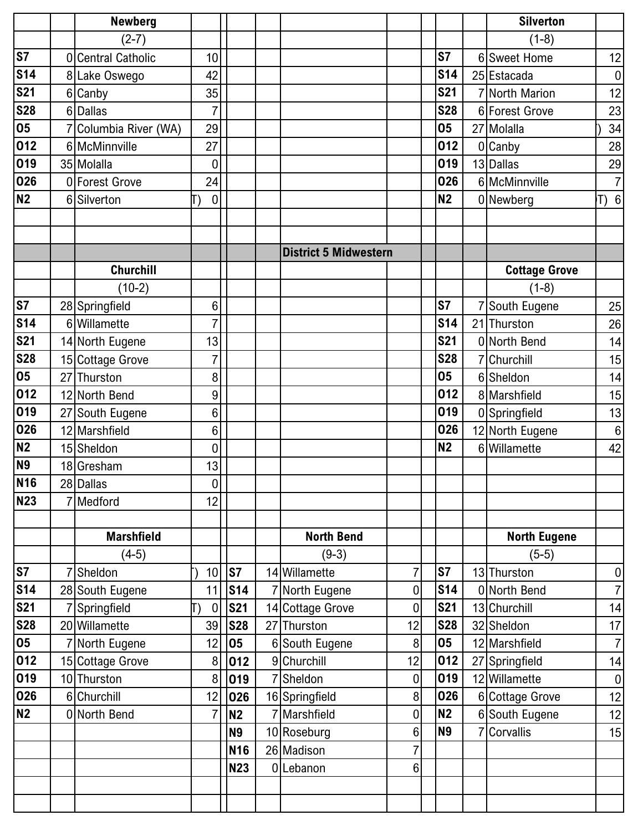|                 |                | <b>Newberg</b>          |                      |                 |                                |                     |                  | <b>Silverton</b>     |                  |
|-----------------|----------------|-------------------------|----------------------|-----------------|--------------------------------|---------------------|------------------|----------------------|------------------|
|                 |                | $(2-7)$                 |                      |                 |                                |                     |                  | $(1-8)$              |                  |
| <b>S7</b>       | $\overline{0}$ | <b>Central Catholic</b> | 10                   |                 |                                |                     | S7               | 6 Sweet Home         | 12               |
| <b>S14</b>      |                | 8 Lake Oswego           | 42                   |                 |                                |                     | <b>S14</b>       | 25 Estacada          | $\pmb{0}$        |
| <b>S21</b>      |                | 6 Canby                 | 35                   |                 |                                |                     | <b>S21</b>       | 7 North Marion       | 12               |
| <b>S28</b>      |                | 6 Dallas                |                      |                 |                                |                     | <b>S28</b>       | 6 Forest Grove       | 23               |
| 05              |                | Columbia River (WA)     | 29                   |                 |                                |                     | 05               | 27 Molalla           | 34               |
| 012             |                | 6 McMinnville           | 27                   |                 |                                |                     | 012              | 0 Canby              | 28               |
| 019             |                | 35 Molalla              | 0                    |                 |                                |                     | 019              | 13 Dallas            | 29               |
| 026             |                | 0 Forest Grove          | 24                   |                 |                                |                     | 026              | 6 McMinnville        | $\overline{7}$   |
| N <sub>2</sub>  |                | 6 Silverton             | 0                    |                 |                                |                     | <b>N2</b>        | 0 Newberg            | T) 6             |
|                 |                |                         |                      |                 |                                |                     |                  |                      |                  |
|                 |                |                         |                      |                 |                                |                     |                  |                      |                  |
|                 |                |                         |                      |                 | <b>District 5 Midwestern</b>   |                     |                  |                      |                  |
|                 |                | <b>Churchill</b>        |                      |                 |                                |                     |                  | <b>Cottage Grove</b> |                  |
|                 |                | $(10-2)$                |                      |                 |                                |                     |                  | $(1-8)$              |                  |
| <b>S7</b>       |                | 28 Springfield          | 6                    |                 |                                |                     | S7               | 7 South Eugene       | 25               |
| <b>S14</b>      |                | 6 Willamette            | $\overline{7}$       |                 |                                |                     | <b>S14</b>       | 21 Thurston          | 26               |
| <b>S21</b>      |                | 14 North Eugene         | 13                   |                 |                                |                     | <b>S21</b>       | 0 North Bend         | 14               |
| <b>S28</b>      |                | 15 Cottage Grove        | $\overline{7}$       |                 |                                |                     | <b>S28</b>       | 7 Churchill          | 15               |
| 05              |                | 27 Thurston             | 8                    |                 |                                |                     | 05               | 6 Sheldon            | 14               |
| 012             |                | 12 North Bend           | 9                    |                 |                                |                     | 012              | 8 Marshfield         | 15               |
| 019             |                | 27 South Eugene         | 6                    |                 |                                |                     | 019              | 0 Springfield        | 13               |
| 026             |                | 12 Marshfield           | 6                    |                 |                                |                     | 026              | 12 North Eugene      | $\boldsymbol{6}$ |
| N2              |                | 15 Sheldon              | 0                    |                 |                                |                     | <b>N2</b>        | 6 Willamette         | 42               |
| <b>N9</b>       |                | 18 Gresham              | 13                   |                 |                                |                     |                  |                      |                  |
| N <sub>16</sub> |                | 28 Dallas               | 0                    |                 |                                |                     |                  |                      |                  |
| <b>N23</b>      |                | Medford                 | 12                   |                 |                                |                     |                  |                      |                  |
|                 |                |                         |                      |                 |                                |                     |                  |                      |                  |
|                 |                | <b>Marshfield</b>       |                      |                 | <b>North Bend</b>              |                     |                  | <b>North Eugene</b>  |                  |
|                 |                | $(4-5)$                 |                      |                 | $(9-3)$                        |                     |                  | $(5-5)$              |                  |
| <b>S7</b>       |                | Sheldon                 | 10                   | S7              | 14 Willamette                  | 7                   | S7               | 13 Thurston          | $\pmb{0}$        |
| <b>S14</b>      |                | 28 South Eugene         | 11                   | S <sub>14</sub> | North Eugene                   | 0                   | <b>S14</b>       | 0 North Bend         | $\overline{7}$   |
| <b>S21</b>      |                | Springfield             | $\boldsymbol{0}$     | <b>S21</b>      | 14 Cottage Grove               | 0                   | <b>S21</b>       | 13 Churchill         | 14               |
| <b>S28</b>      |                | 20 Willamette           | 39                   | <b>S28</b>      | 27 Thurston                    | 12                  | <b>S28</b>       | 32 Sheldon           | 17               |
| 05              |                | 7 North Eugene          | 12                   | 05              | 6 South Eugene                 | 8                   | 05               | 12 Marshfield        | $\overline{7}$   |
| 012             |                | 15 Cottage Grove        | 8                    | 012             | 9 Churchill                    | 12                  | 012              | 27 Springfield       | 14               |
| 019             |                | 10 Thurston             | 8                    | 019             | Sheldon                        | $\mathbf 0$         | 019              | 12 Willamette        | $\boldsymbol{0}$ |
| 026<br>N2       |                | 6 Churchill             | 12<br>$\overline{7}$ | 026             | 16 Springfield<br>7 Marshfield | 8<br>$\pmb{0}$      | 026<br><b>N2</b> | 6 Cottage Grove      | 12               |
|                 |                | 0 North Bend            |                      | <b>N2</b>       |                                |                     |                  | 6 South Eugene       | 12               |
|                 |                |                         |                      | <b>N9</b>       | 10 Roseburg                    | 6                   | <b>N9</b>        | 7 Corvallis          | 15               |
|                 |                |                         |                      | <b>N16</b>      | 26 Madison                     | 7<br>$6\phantom{.}$ |                  |                      |                  |
|                 |                |                         |                      | <b>N23</b>      | 0Lebanon                       |                     |                  |                      |                  |
|                 |                |                         |                      |                 |                                |                     |                  |                      |                  |
|                 |                |                         |                      |                 |                                |                     |                  |                      |                  |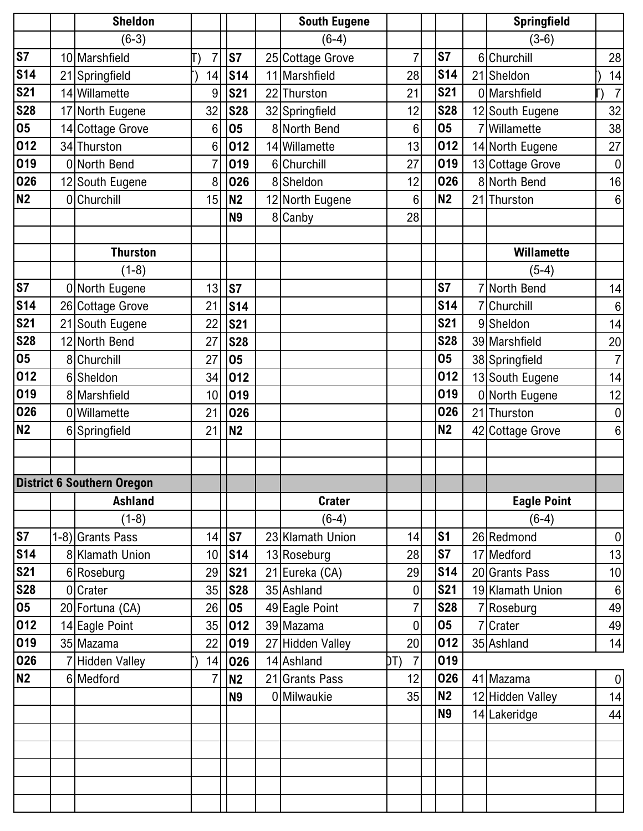|            | <b>Sheldon</b>                    |                |                 | <b>South Eugene</b> |                       |                | <b>Springfield</b> |                  |
|------------|-----------------------------------|----------------|-----------------|---------------------|-----------------------|----------------|--------------------|------------------|
|            | $(6-3)$                           |                |                 | $(6-4)$             |                       |                | $(3-6)$            |                  |
| <b>S7</b>  | 10 Marshfield                     | 7              | S7              | 25 Cottage Grove    | 7                     | S7             | 6 Churchill        | 28               |
| <b>S14</b> | 21 Springfield                    | 14             | <b>S14</b>      | 11 Marshfield       | 28                    | <b>S14</b>     | 21 Sheldon         | 14               |
| <b>S21</b> | 14 Willamette                     | 9              | <b>S21</b>      | 22 Thurston         | 21                    | <b>S21</b>     | 0 Marshfield       | $\overline{7}$   |
| <b>S28</b> | 17 North Eugene                   | 32             | <b>S28</b>      | 32 Springfield      | 12                    | <b>S28</b>     | 12 South Eugene    | 32               |
| 05         | 14 Cottage Grove                  | 6              | 05              | 8 North Bend        | $6\phantom{1}$        | 05             | 7 Willamette       | 38               |
| 012        | 34 Thurston                       | 6              | 012             | 14 Willamette       | 13                    | 012            | 14 North Eugene    | 27               |
| 019        | 0 North Bend                      | $\overline{7}$ | 019             | 6 Churchill         | 27                    | 019            | 13 Cottage Grove   | $\pmb{0}$        |
| 026        | 12 South Eugene                   | 8              | 026             | 8 Sheldon           | 12                    | 026            | 8 North Bend       | 16               |
| <b>N2</b>  | 0 Churchill                       | 15             | N <sub>2</sub>  | 12 North Eugene     | $6\phantom{1}$        | N <sub>2</sub> | 21 Thurston        | $\,6\,$          |
|            |                                   |                | <b>N9</b>       | 8 Canby             | 28                    |                |                    |                  |
|            |                                   |                |                 |                     |                       |                |                    |                  |
|            | <b>Thurston</b>                   |                |                 |                     |                       |                | <b>Willamette</b>  |                  |
|            | $(1-8)$                           |                |                 |                     |                       |                | $(5-4)$            |                  |
| <b>S7</b>  | 0 North Eugene                    | 13             | <b>S7</b>       |                     |                       | S7             | 7 North Bend       | 14               |
| <b>S14</b> | 26 Cottage Grove                  | 21             | <b>S14</b>      |                     |                       | <b>S14</b>     | 7 Churchill        | $\,6\,$          |
| <b>S21</b> | 21 South Eugene                   | 22             | <b>S21</b>      |                     |                       | <b>S21</b>     | 9Sheldon           | 14               |
| <b>S28</b> | 12 North Bend                     | 27             | <b>S28</b>      |                     |                       | <b>S28</b>     | 39 Marshfield      | 20               |
| 05         | 8 Churchill                       | 27             | 05              |                     |                       | 05             | 38 Springfield     | $\overline{7}$   |
| 012        | 6 Sheldon                         | 34             | 012             |                     |                       | 012            | 13 South Eugene    | 14               |
| 019        | 8 Marshfield                      | 10             | 019             |                     |                       | 019            | 0 North Eugene     | 12               |
| 026        | 0 Willamette                      | 21             | 026             |                     |                       | 026            | 21 Thurston        | $\pmb{0}$        |
| <b>N2</b>  | 6 Springfield                     | 21             | N2              |                     |                       | <b>N2</b>      | 42 Cottage Grove   | 6                |
|            |                                   |                |                 |                     |                       |                |                    |                  |
|            |                                   |                |                 |                     |                       |                |                    |                  |
|            | <b>District 6 Southern Oregon</b> |                |                 |                     |                       |                |                    |                  |
|            | <b>Ashland</b>                    |                |                 | <b>Crater</b>       |                       |                | <b>Eagle Point</b> |                  |
|            | $(1-8)$                           |                |                 | $(6-4)$             |                       |                | $(6-4)$            |                  |
| <b>S7</b>  | 1-8) Grants Pass                  | 14             | S7              | 23 Klamath Union    | 14                    | s <sub>1</sub> | 26 Redmond         | $\pmb{0}$        |
| <b>S14</b> | 8 Klamath Union                   | 10             | S <sub>14</sub> | 13 Roseburg         | 28                    | <b>S7</b>      | 17 Medford         | 13               |
| <b>S21</b> | 6 Roseburg                        | 29             | <b>S21</b>      | 21 Eureka (CA)      | 29                    | <b>S14</b>     | 20 Grants Pass     | 10               |
| <b>S28</b> | 0 Crater                          | 35             | <b>S28</b>      | 35 Ashland          | 0                     | <b>S21</b>     | 19 Klamath Union   | $\boldsymbol{6}$ |
| 05         | 20 Fortuna (CA)                   | 26             | 05              | 49 Eagle Point      |                       | <b>S28</b>     | 7 Roseburg         | 49               |
| 012        | 14 Eagle Point                    | 35             | 012             | 39 Mazama           | $\mathbf 0$           | 05             | 7 Crater           | 49               |
| 019        | 35 Mazama                         | 22             | 019             | 27 Hidden Valley    | 20                    | 012            | 35 Ashland         | 14               |
| 026        | 7 Hidden Valley                   | 14             | 026             | 14 Ashland          | $\overline{7}$<br>DT) | 019            |                    |                  |
| <b>N2</b>  | 6 Medford                         | $\overline{7}$ | N <sub>2</sub>  | 21 Grants Pass      | 12                    | 026            | 41 Mazama          | $\pmb{0}$        |
|            |                                   |                | <b>N9</b>       | 0 Milwaukie         | 35                    | N <sub>2</sub> | 12 Hidden Valley   | 14               |
|            |                                   |                |                 |                     |                       | <b>N9</b>      | 14 Lakeridge       | 44               |
|            |                                   |                |                 |                     |                       |                |                    |                  |
|            |                                   |                |                 |                     |                       |                |                    |                  |
|            |                                   |                |                 |                     |                       |                |                    |                  |
|            |                                   |                |                 |                     |                       |                |                    |                  |
|            |                                   |                |                 |                     |                       |                |                    |                  |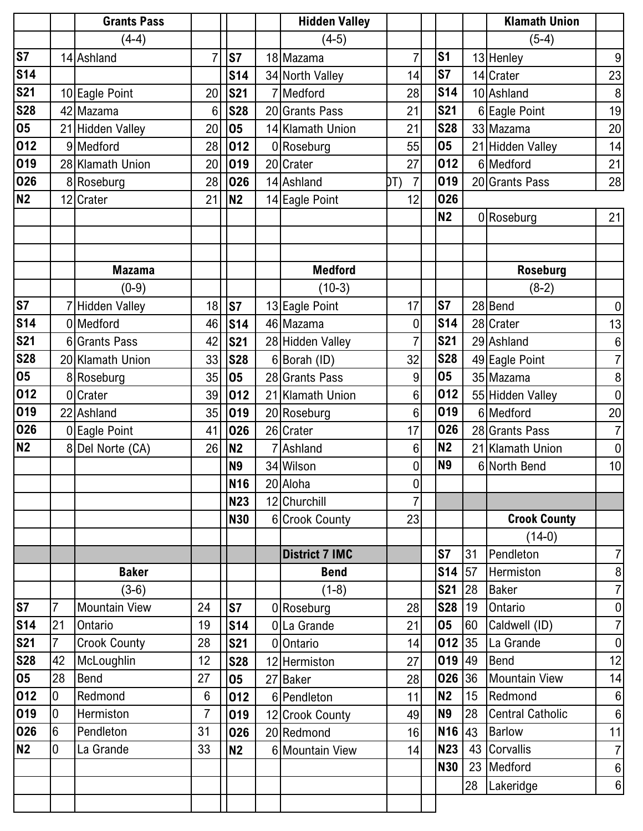|                        |                  | <b>Grants Pass</b>   |                |            | <b>Hidden Valley</b>  |                       |                 |    | <b>Klamath Union</b>    |                  |
|------------------------|------------------|----------------------|----------------|------------|-----------------------|-----------------------|-----------------|----|-------------------------|------------------|
|                        |                  | $(4-4)$              |                |            | $(4-5)$               |                       |                 |    | $(5-4)$                 |                  |
| $\overline{\text{S}7}$ |                  | 14 Ashland           | $\overline{7}$ | S7         | 18 Mazama             | $\overline{7}$        | S <sub>1</sub>  |    | 13 Henley               | $\boldsymbol{9}$ |
| <b>S14</b>             |                  |                      |                | <b>S14</b> | 34 North Valley       | 14                    | S7              |    | 14 Crater               | 23               |
| <b>S21</b>             |                  | 10 Eagle Point       | 20             | <b>S21</b> | Medford               | 28                    | <b>S14</b>      |    | 10 Ashland              | $\, 8$           |
| <b>S28</b>             |                  | 42 Mazama            | 6              | <b>S28</b> | 20 Grants Pass        | 21                    | <b>S21</b>      |    | 6 Eagle Point           | 19               |
| 05                     |                  | 21 Hidden Valley     | 20             | 05         | 14 Klamath Union      | 21                    | <b>S28</b>      |    | 33 Mazama               | 20               |
| 012                    |                  | 9 Medford            | 28             | 012        | 0 Roseburg            | 55                    | 05              |    | 21 Hidden Valley        | 14               |
| 019                    |                  | 28 Klamath Union     | 20             | 019        | 20 Crater             | 27                    | 012             |    | 6 Medford               | 21               |
| 026                    |                  | 8 Roseburg           | 28             | 026        | 14 Ashland            | $\overline{7}$<br>DT) | 019             |    | 20 Grants Pass          | 28               |
| <b>N2</b>              |                  | 12 Crater            | 21             | <b>N2</b>  | 14 Eagle Point        | 12                    | 026             |    |                         |                  |
|                        |                  |                      |                |            |                       |                       | <b>N2</b>       |    | 0 Roseburg              | 21               |
|                        |                  |                      |                |            |                       |                       |                 |    |                         |                  |
|                        |                  |                      |                |            |                       |                       |                 |    |                         |                  |
|                        |                  | <b>Mazama</b>        |                |            | <b>Medford</b>        |                       |                 |    | <b>Roseburg</b>         |                  |
|                        |                  | $(0-9)$              |                |            | $(10-3)$              |                       |                 |    | $(8-2)$                 |                  |
| S <sub>7</sub>         |                  | 7 Hidden Valley      | 18             | <b>S7</b>  | 13 Eagle Point        | 17                    | S7              |    | 28 Bend                 | $\boldsymbol{0}$ |
| <b>S14</b>             |                  | 0 Medford            | 46             | <b>S14</b> | 46 Mazama             | $\mathbf 0$           | <b>S14</b>      |    | 28 Crater               | 13               |
| <b>S21</b>             |                  | 6 Grants Pass        | 42             | <b>S21</b> | 28 Hidden Valley      | 7                     | <b>S21</b>      |    | 29 Ashland              | $\boldsymbol{6}$ |
| <b>S28</b>             |                  | 20 Klamath Union     | 33             | <b>S28</b> | 6 Borah (ID)          | 32                    | <b>S28</b>      |    | 49 Eagle Point          | $\overline{7}$   |
| 05                     |                  | 8 Roseburg           | 35             | 05         | 28 Grants Pass        | 9                     | 05              |    | 35 Mazama               | $\bf 8$          |
| 012                    |                  | 0 Crater             | 39             | 012        | 21 Klamath Union      | 6                     | 012             |    | 55 Hidden Valley        | $\boldsymbol{0}$ |
| 019                    |                  | 22 Ashland           | 35             | 019        | 20 Roseburg           | $6\phantom{1}$        | 019             |    | 6 Medford               | 20               |
| 026                    |                  | 0 Eagle Point        | 41             | 026        | 26 Crater             | 17                    | 026             |    | 28 Grants Pass          | $\overline{7}$   |
| <b>N2</b>              |                  | 8 Del Norte (CA)     | 26             | <b>N2</b>  | Ashland               | $6\phantom{1}$        | <b>N2</b>       |    | 21 Klamath Union        | $\boldsymbol{0}$ |
|                        |                  |                      |                | <b>N9</b>  | 34 Wilson             | 0                     | <b>N9</b>       |    | 6 North Bend            | 10               |
|                        |                  |                      |                | <b>N16</b> | 20 Aloha              | 0                     |                 |    |                         |                  |
|                        |                  |                      |                | <b>N23</b> | 12 Churchill          | $\overline{7}$        |                 |    |                         |                  |
|                        |                  |                      |                | <b>N30</b> | 6 Crook County        | 23                    |                 |    | <b>Crook County</b>     |                  |
|                        |                  |                      |                |            |                       |                       |                 |    | $(14-0)$                |                  |
|                        |                  |                      |                |            | <b>District 7 IMC</b> |                       | S7              | 31 | Pendleton               | $\overline{7}$   |
|                        |                  | <b>Baker</b>         |                |            | <b>Bend</b>           |                       | S <sub>14</sub> | 57 | Hermiston               | $\boldsymbol{8}$ |
|                        |                  | $(3-6)$              |                |            | $(1-8)$               |                       | <b>S21</b>      | 28 | <b>Baker</b>            | $\overline{7}$   |
| <b>S7</b>              | $\overline{7}$   | <b>Mountain View</b> | 24             | <b>S7</b>  | 0 Roseburg            | 28                    | S28 19          |    | Ontario                 | $\overline{0}$   |
| <b>S14</b>             | 21               | Ontario              | 19             | <b>S14</b> | 0La Grande            | 21                    | 05              | 60 | Caldwell (ID)           | $\overline{7}$   |
| <b>S21</b>             | $\overline{7}$   | <b>Crook County</b>  | 28             | <b>S21</b> | 0 Ontario             | 14                    | $012$ 35        |    | La Grande               | $\overline{0}$   |
| <b>S28</b>             | 42               | McLoughlin           | 12             | <b>S28</b> | 12 Hermiston          | 27                    | $019$ 49        |    | <b>Bend</b>             | 12               |
| 05                     | 28               | <b>Bend</b>          | 27             | 05         | 27 Baker              | 28                    | 026 36          |    | <b>Mountain View</b>    | 14               |
| 012                    | $\boldsymbol{0}$ | Redmond              | $6\phantom{1}$ | 012        | 6 Pendleton           | 11                    | <b>N2</b>       | 15 | Redmond                 | 6                |
| 019                    | 0                | Hermiston            | $\overline{7}$ | 019        | 12 Crook County       | 49                    | <b>N9</b>       | 28 | <b>Central Catholic</b> | $\boldsymbol{6}$ |
| 026                    | $6\phantom{.}6$  | Pendleton            | 31             | 026        | 20 Redmond            | 16                    | $N16$ 43        |    | <b>Barlow</b>           | 11               |
| <b>N2</b>              | 0                | La Grande            | 33             | <b>N2</b>  | 6 Mountain View       | 14                    | <b>N23</b>      |    | 43 Corvallis            | $\overline{7}$   |
|                        |                  |                      |                |            |                       |                       | <b>N30</b>      |    | 23 Medford              | $6 \mid$         |
|                        |                  |                      |                |            |                       |                       |                 | 28 | Lakeridge               | 6                |
|                        |                  |                      |                |            |                       |                       |                 |    |                         |                  |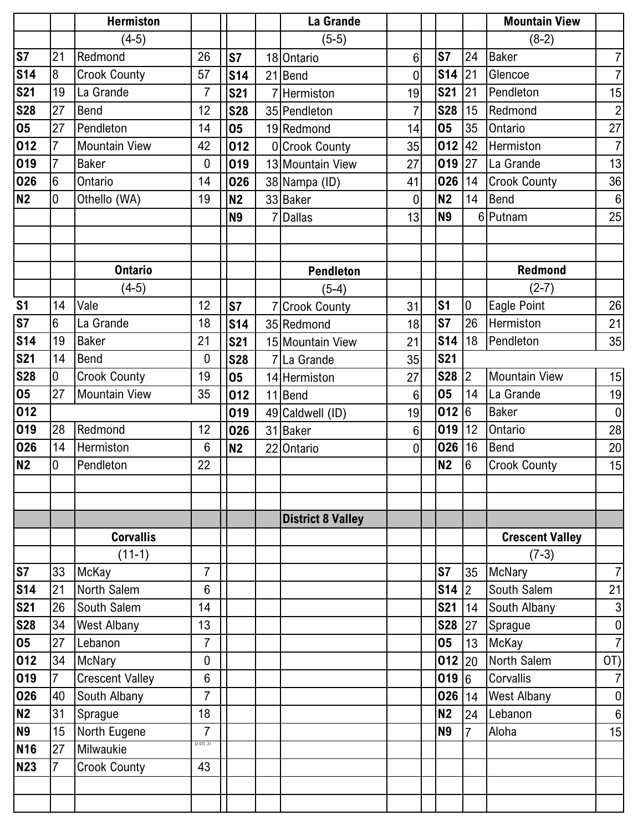|                                   |                | <b>Hermiston</b>       |                  |                |    | La Grande                |                |                |                | <b>Mountain View</b>   |                |
|-----------------------------------|----------------|------------------------|------------------|----------------|----|--------------------------|----------------|----------------|----------------|------------------------|----------------|
|                                   |                | $(4-5)$                |                  |                |    | $(5-5)$                  |                |                |                | $(8-2)$                |                |
| $\overline{\text{S7}}$            | 21             | Redmond                | 26               | S7             |    | 18 Ontario               | $6\phantom{1}$ | <b>S7</b>      | 24             | <b>Baker</b>           | $\overline{7}$ |
| <b>S14</b>                        | 8              | <b>Crook County</b>    | 57               | <b>S14</b>     |    | 21 Bend                  | $\mathbf 0$    | $$14$ 21       |                | Glencoe                | $\overline{7}$ |
| <b>S21</b>                        | 19             | La Grande              | $\overline{7}$   | <b>S21</b>     |    | Hermiston                | 19             | <b>S21</b>     | 21             | Pendleton              | 15             |
| <b>S28</b>                        | 27             | <b>Bend</b>            | 12               | <b>S28</b>     |    | 35 Pendleton             | $\overline{7}$ | <b>S28</b>     | 15             | Redmond                | $\overline{c}$ |
| 05                                | 27             | Pendleton              | 14               | 05             |    | 19 Redmond               | 14             | 05             | 35             | Ontario                | 27             |
| 012                               | 7              | <b>Mountain View</b>   | 42               | 012            |    | 0 Crook County           | 35             | $012$ 42       |                | Hermiston              | $\overline{7}$ |
| 019                               | 7              | <b>Baker</b>           | $\boldsymbol{0}$ | 019            |    | 13 Mountain View         | 27             | $019$ 27       |                | La Grande              | 13             |
| 026                               | 6              | Ontario                | 14               | 026            |    | 38 Nampa (ID)            | 41             | 026            | 14             | <b>Crook County</b>    | 36             |
| N2                                | 0              | Othello (WA)           | 19               | <b>N2</b>      |    | 33 Baker                 | $\mathbf 0$    | <b>N2</b>      | 14             | Bend                   | $\,6\,$        |
|                                   |                |                        |                  | <b>N9</b>      |    | <b>Dallas</b>            | 13             | <b>N9</b>      |                | 6 Putnam               | 25             |
|                                   |                |                        |                  |                |    |                          |                |                |                |                        |                |
|                                   |                |                        |                  |                |    |                          |                |                |                |                        |                |
|                                   |                | <b>Ontario</b>         |                  |                |    | <b>Pendleton</b>         |                |                |                | <b>Redmond</b>         |                |
|                                   |                | $(4-5)$                |                  |                |    | $(5-4)$                  |                |                |                | $(2-7)$                |                |
| S <sub>1</sub>                    | 14             | Vale                   | 12               | <b>S7</b>      |    | <b>Crook County</b>      | 31             | S <sub>1</sub> | $\overline{0}$ | Eagle Point            | 26             |
| $\overline{\text{S}7}$            | 6              | La Grande              | 18               | <b>S14</b>     |    | 35 Redmond               | 18             | S7             | 26             | Hermiston              | 21             |
| S <sub>14</sub>                   | 19             | <b>Baker</b>           | 21               | <b>S21</b>     |    | 15 Mountain View         | 21             | <b>S14</b>     | 18             | Pendleton              | 35             |
| <b>S21</b>                        | 14             | <b>Bend</b>            | $\overline{0}$   | <b>S28</b>     |    | 7 La Grande              | 35             | <b>S21</b>     |                |                        |                |
| <b>S28</b>                        | 0              | <b>Crook County</b>    | 19               | 05             |    | 14 Hermiston             | 27             | $S28$ 2        |                | <b>Mountain View</b>   | 15             |
| 05                                | 27             | <b>Mountain View</b>   | 35               | 012            |    | 11 Bend                  | $6\phantom{1}$ | 05             | 14             | La Grande              | 19             |
| 012                               |                |                        |                  | 019            |    | 49 Caldwell (ID)         | 19             | 012 6          |                | <b>Baker</b>           | $\overline{0}$ |
| 019                               | 28             | Redmond                | 12               | 026            | 31 | <b>Baker</b>             | $6\phantom{1}$ | 019            | 12             | Ontario                | 28             |
| 026                               | 14             | Hermiston              | $6\phantom{1}6$  | N <sub>2</sub> |    | 22 Ontario               | $\overline{0}$ | 026            | 16             | <b>Bend</b>            | 20             |
| N2                                | 0              | Pendleton              | 22               |                |    |                          |                | <b>N2</b>      | 6              | <b>Crook County</b>    | 15             |
|                                   |                |                        |                  |                |    |                          |                |                |                |                        |                |
|                                   |                |                        |                  |                |    |                          |                |                |                |                        |                |
|                                   |                |                        |                  |                |    | <b>District 8 Valley</b> |                |                |                |                        |                |
|                                   |                | <b>Corvallis</b>       |                  |                |    |                          |                |                |                | <b>Crescent Valley</b> |                |
|                                   |                | $(11-1)$               |                  |                |    |                          |                |                |                | $(7-3)$                |                |
| S <sub>7</sub>                    | 33             | <b>McKay</b>           | $\overline{7}$   |                |    |                          |                | S7             | 35             | <b>McNary</b>          | $\overline{7}$ |
| S <sub>14</sub>                   | 21             | North Salem            | 6                |                |    |                          |                | <b>S14</b>     | $ 2\rangle$    | South Salem            | 21             |
| <b>S21</b>                        | 26             | South Salem            | 14               |                |    |                          |                | <b>S21</b>     | 14             | South Albany           | $\mathbf{3}$   |
| <b>S28</b>                        | 34             | <b>West Albany</b>     | 13               |                |    |                          |                | S28 27         |                | Sprague                | 0              |
| $\overline{\overline{\text{05}}}$ | 27             | Lebanon                | $\overline{7}$   |                |    |                          |                | 05             | 13             | McKay                  | $\overline{7}$ |
| 012                               | 34             | <b>McNary</b>          | 0                |                |    |                          |                | $012$ 20       |                | North Salem            | OT)            |
| 019                               | $\overline{7}$ | <b>Crescent Valley</b> | 6                |                |    |                          |                | 019 6          |                | Corvallis              | $\overline{7}$ |
| 026                               | 40             | South Albany           | $\overline{7}$   |                |    |                          |                | 026            | 14             | <b>West Albany</b>     | $\pmb{0}$      |
| N2                                | 31             | Sprague                | 18               |                |    |                          |                | <b>N2</b>      | 24             | Lebanon                | $\,6\,$        |
| <b>N9</b>                         | 15             | North Eugene           | $\overline{7}$   |                |    |                          |                | <b>N9</b>      | $\overline{7}$ | Aloha                  | 15             |
| <b>N16</b>                        | 27             | Milwaukie              | (2 0T) 21        |                |    |                          |                |                |                |                        |                |
| <b>N23</b>                        | 7              | <b>Crook County</b>    | 43               |                |    |                          |                |                |                |                        |                |
|                                   |                |                        |                  |                |    |                          |                |                |                |                        |                |
|                                   |                |                        |                  |                |    |                          |                |                |                |                        |                |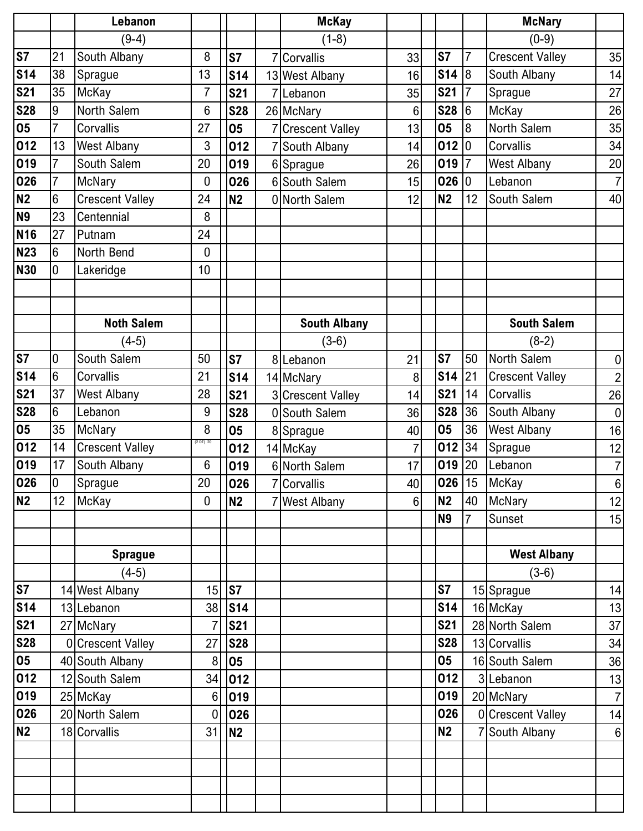|                          |                 | Lebanon                |                |                | <b>McKay</b>        |                  |                |                | <b>McNary</b>          |                  |
|--------------------------|-----------------|------------------------|----------------|----------------|---------------------|------------------|----------------|----------------|------------------------|------------------|
|                          |                 | $(9-4)$                |                |                | $(1-8)$             |                  |                |                | $(0-9)$                |                  |
| $\overline{\mathsf{S}7}$ | 21              | South Albany           | 8              | S7             | 7 Corvallis         | 33               | <b>S7</b>      | $\overline{7}$ | <b>Crescent Valley</b> | 35               |
| <b>S14</b>               | 38              | Sprague                | 13             | <b>S14</b>     | 13 West Albany      | 16               | \$14 8         |                | South Albany           | 14               |
| <b>S21</b>               | 35              | McKay                  | $\overline{7}$ | <b>S21</b>     | 7Lebanon            | 35               | <b>S21</b>     | $\overline{7}$ | Sprague                | 27               |
| <b>S28</b>               | $\overline{9}$  | North Salem            | 6              | <b>S28</b>     | 26 McNary           | 6                | <b>S28</b>     | 6              | McKay                  | 26               |
| 05                       | 7               | Corvallis              | 27             | 05             | 7 Crescent Valley   | 13               | 05             | 8              | <b>North Salem</b>     | 35               |
| 012                      | 13              | <b>West Albany</b>     | 3              | 012            | 7 South Albany      | 14               | 012            | 10             | Corvallis              | 34               |
| 019                      | 7               | South Salem            | 20             | 019            | 6 Sprague           | 26               | 019            | $\overline{7}$ | <b>West Albany</b>     | 20               |
| 026                      | 7               | <b>McNary</b>          | 0              | 026            | 6 South Salem       | 15               | 026            | 10             | Lebanon                | $\overline{7}$   |
| N <sub>2</sub>           | 6               | <b>Crescent Valley</b> | 24             | <b>N2</b>      | 0 North Salem       | 12               | <b>N2</b>      | 12             | South Salem            | 40               |
| <b>N9</b>                | 23              | Centennial             | 8              |                |                     |                  |                |                |                        |                  |
| N <sub>16</sub>          | 27              | Putnam                 | 24             |                |                     |                  |                |                |                        |                  |
| <b>N23</b>               | $6\phantom{1}$  | North Bend             | 0              |                |                     |                  |                |                |                        |                  |
| <b>N30</b>               | $\overline{0}$  | Lakeridge              | 10             |                |                     |                  |                |                |                        |                  |
|                          |                 |                        |                |                |                     |                  |                |                |                        |                  |
|                          |                 |                        |                |                |                     |                  |                |                |                        |                  |
|                          |                 | <b>Noth Salem</b>      |                |                | <b>South Albany</b> |                  |                |                | <b>South Salem</b>     |                  |
|                          |                 | (4-5)                  |                |                | $(3-6)$             |                  |                |                | $(8-2)$                |                  |
| <b>S7</b>                | $\overline{0}$  | South Salem            | 50             | S7             | 8Lebanon            | 21               | <b>S7</b>      | 50             | North Salem            | $\pmb{0}$        |
| <b>S14</b>               | $6\phantom{1}$  | Corvallis              | 21             | <b>S14</b>     | 14 McNary           | 8                | <b>S14</b>     | 21             | <b>Crescent Valley</b> | $\mathbf{2}$     |
| <b>S21</b>               | 37              | <b>West Albany</b>     | 28             | <b>S21</b>     | 3 Crescent Valley   | 14               | <b>S21</b>     | 14             | Corvallis              | 26               |
| <b>S28</b>               | $6\phantom{1}$  | Lebanon                | 9              | <b>S28</b>     | 0 South Salem       | 36               | <b>S28</b>     | 36             | South Albany           | $\boldsymbol{0}$ |
| 05                       | 35              | McNary                 | 8              | 05             | 8 Sprague           | 40               | 05             | 36             | <b>West Albany</b>     | 16               |
| 012                      | 14              | <b>Crescent Valley</b> | (2 O T) 20     | 012            | 14 McKay            | $\overline{7}$   | 012            | 34             | Sprague                | 12               |
| 019                      | 17              | South Albany           | 6              | 019            | 6 North Salem       | 17               | 019            | 20             | Lebanon                | $\overline{7}$   |
| 026                      | $\overline{0}$  | Sprague                | $20\,$         | 026            | 7 Corvallis         | 40               | 026 15         |                | <b>McKay</b>           | $\boldsymbol{6}$ |
| N2                       | 12 <sup>2</sup> | McKay                  | $\overline{0}$ | <b>N2</b>      | 7 West Albany       | $6 \overline{6}$ | <b>N2</b>      | 40             | <b>McNary</b>          | 12               |
|                          |                 |                        |                |                |                     |                  | <b>N9</b>      | $\overline{7}$ | Sunset                 | 15               |
|                          |                 |                        |                |                |                     |                  |                |                |                        |                  |
|                          |                 | <b>Sprague</b>         |                |                |                     |                  |                |                | <b>West Albany</b>     |                  |
|                          |                 | $(4-5)$                |                |                |                     |                  |                |                | $(3-6)$                |                  |
| <b>S7</b>                |                 | 14 West Albany         | 15             | S7             |                     |                  | S <sub>7</sub> |                | 15 Sprague             | 14               |
| <b>S14</b>               |                 | 13 Lebanon             |                | 38 S14         |                     |                  | <b>S14</b>     |                | 16 McKay               | 13               |
| <b>S21</b>               |                 | 27 McNary              | $\overline{7}$ | <b>S21</b>     |                     |                  | <b>S21</b>     |                | 28 North Salem         | 37               |
| <b>S28</b>               |                 | 0 Crescent Valley      | 27             | <b>S28</b>     |                     |                  | <b>S28</b>     |                | 13 Corvallis           | 34               |
| 05                       |                 | 40 South Albany        | 8              | 05             |                     |                  | 05             |                | 16 South Salem         | 36               |
| 012                      |                 | 12 South Salem         | 34             | 012            |                     |                  | 012            |                | 3 Lebanon              | 13               |
| 019                      |                 | 25 McKay               | 6              | 019            |                     |                  | 019            |                | 20 McNary              | $\overline{7}$   |
| 026                      |                 | 20 North Salem         | 0              | 026            |                     |                  | 026            |                | 0 Crescent Valley      | 14               |
| N2                       |                 | 18 Corvallis           | 31             | N <sub>2</sub> |                     |                  | <b>N2</b>      |                | 7 South Albany         | 6                |
|                          |                 |                        |                |                |                     |                  |                |                |                        |                  |
|                          |                 |                        |                |                |                     |                  |                |                |                        |                  |
|                          |                 |                        |                |                |                     |                  |                |                |                        |                  |
|                          |                 |                        |                |                |                     |                  |                |                |                        |                  |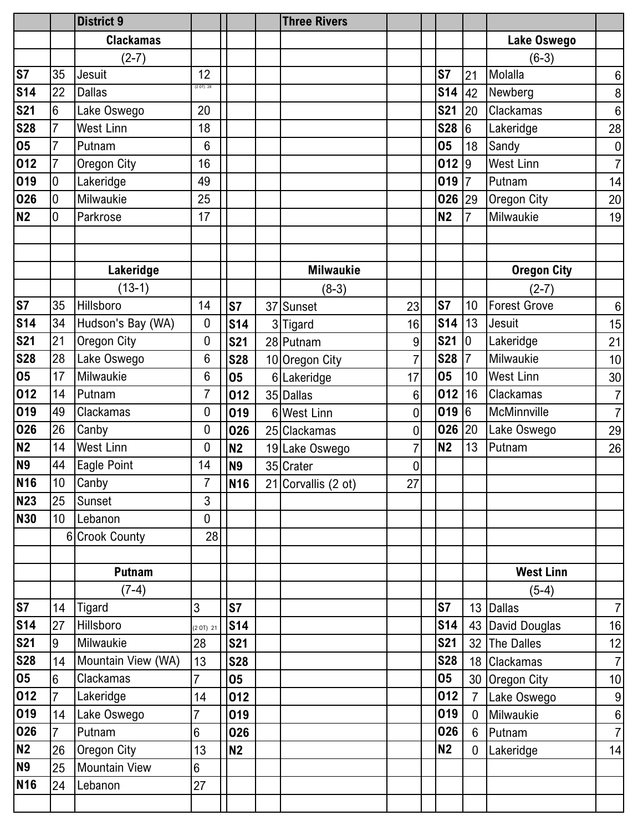|            |                 | <b>District 9</b>    |                 |                | <b>Three Rivers</b> |                |            |                |                     |                  |
|------------|-----------------|----------------------|-----------------|----------------|---------------------|----------------|------------|----------------|---------------------|------------------|
|            |                 | <b>Clackamas</b>     |                 |                |                     |                |            |                | Lake Oswego         |                  |
|            |                 | $(2-7)$              |                 |                |                     |                |            |                | $(6-3)$             |                  |
| <b>S7</b>  | 35              | Jesuit               | 12              |                |                     |                | S7         | 21             | Molalla             | $\,6\,$          |
| <b>S14</b> | 22              | <b>Dallas</b>        | (2 O T) 28      |                |                     |                | <b>S14</b> | 42             | Newberg             | $\bf 8$          |
| <b>S21</b> | 6               | Lake Oswego          | 20              |                |                     |                | <b>S21</b> | 20             | <b>Clackamas</b>    | $\,6\,$          |
| <b>S28</b> | $\overline{7}$  | <b>West Linn</b>     | 18              |                |                     |                | <b>S28</b> | $6\phantom{.}$ | Lakeridge           | 28               |
| 05         | $\overline{7}$  | Putnam               | $6\phantom{1}6$ |                |                     |                | 05         | 18             | Sandy               | $\boldsymbol{0}$ |
| 012        | 7               | Oregon City          | 16              |                |                     |                | 012        | $\overline{9}$ | <b>West Linn</b>    | $\overline{7}$   |
| 019        | 0               | Lakeridge            | 49              |                |                     |                | 019        | $\overline{7}$ | Putnam              | 14               |
| 026        | 0               | Milwaukie            | 25              |                |                     |                | 026        | 29             | Oregon City         | 20               |
| <b>N2</b>  | 0               | Parkrose             | 17              |                |                     |                | <b>N2</b>  | $\overline{7}$ | Milwaukie           | 19               |
|            |                 |                      |                 |                |                     |                |            |                |                     |                  |
|            |                 |                      |                 |                |                     |                |            |                |                     |                  |
|            |                 | Lakeridge            |                 |                | <b>Milwaukie</b>    |                |            |                | <b>Oregon City</b>  |                  |
|            |                 | $(13-1)$             |                 |                | $(8-3)$             |                |            |                | $(2-7)$             |                  |
| <b>S7</b>  | 35              | Hillsboro            | 14              | S7             | 37 Sunset           | 23             | S7         | 10             | <b>Forest Grove</b> | $6\,$            |
| <b>S14</b> | 34              | Hudson's Bay (WA)    | 0               | <b>S14</b>     | 3 Tigard            | 16             | <b>S14</b> | 13             | Jesuit              | 15               |
| <b>S21</b> | 21              | Oregon City          | 0               | <b>S21</b>     | 28 Putnam           | $9\,$          | <b>S21</b> | $\overline{0}$ | Lakeridge           | 21               |
| <b>S28</b> | 28              | Lake Oswego          | 6               | <b>S28</b>     | 10 Oregon City      | 7              | <b>S28</b> | $\overline{7}$ | Milwaukie           | 10               |
| 05         | 17              | Milwaukie            | 6               | 05             | 6 Lakeridge         | 17             | 05         | 10             | <b>West Linn</b>    | 30               |
| 012        | 14              | Putnam               | 7               | 012            | 35 Dallas           | $6\phantom{1}$ | 012        | 16             | <b>Clackamas</b>    | $\overline{7}$   |
| 019        | 49              | Clackamas            | 0               | 019            | 6 West Linn         | $\mathbf 0$    | 019        | 6              | McMinnville         | $\overline{7}$   |
| 026        | 26              | Canby                | 0               | 026            | 25 Clackamas        | $\mathbf 0$    | 026        | 20             | Lake Oswego         | 29               |
| <b>N2</b>  | 14              | <b>West Linn</b>     | 0               | N <sub>2</sub> | 19 Lake Oswego      | $\overline{7}$ | <b>N2</b>  | 13             | Putnam              | 26               |
| <b>N9</b>  | 44              | Eagle Point          | 14              | <b>N9</b>      | 35 Crater           | $\mathbf 0$    |            |                |                     |                  |
| <b>N16</b> | 10              | Canby                | 7               | <b>N16</b>     | 21 Corvallis (2 ot) | 27             |            |                |                     |                  |
| <b>N23</b> | 25              | Sunset               | 3               |                |                     |                |            |                |                     |                  |
| <b>N30</b> | 10 <sup>°</sup> | Lebanon              | 0               |                |                     |                |            |                |                     |                  |
|            |                 | 6 Crook County       | 28              |                |                     |                |            |                |                     |                  |
|            |                 |                      |                 |                |                     |                |            |                |                     |                  |
|            |                 | <b>Putnam</b>        |                 |                |                     |                |            |                | <b>West Linn</b>    |                  |
|            |                 | $(7-4)$              |                 |                |                     |                |            |                | $(5-4)$             |                  |
| <b>S7</b>  | 14              | Tigard               | 3               | <b>S7</b>      |                     |                | S7         |                | 13 Dallas           | $\overline{7}$   |
| <b>S14</b> | 27              | Hillsboro            | (2 0T) 21       | <b>S14</b>     |                     |                | <b>S14</b> |                | 43 David Douglas    | 16               |
| <b>S21</b> | 9               | Milwaukie            | 28              | <b>S21</b>     |                     |                | <b>S21</b> |                | 32 The Dalles       | 12               |
| <b>S28</b> | 14              | Mountain View (WA)   | 13              | <b>S28</b>     |                     |                | <b>S28</b> |                | 18 Clackamas        | $\overline{7}$   |
| 05         | $6\phantom{.}6$ | Clackamas            | $\overline{7}$  | 05             |                     |                | 05         |                | 30 Oregon City      | 10               |
| 012        | $\overline{7}$  | Lakeridge            | 14              | 012            |                     |                | 012        | $\overline{7}$ | Lake Oswego         | 9                |
| 019        | 14              | Lake Oswego          | $\overline{7}$  | 019            |                     |                | 019        | $\overline{0}$ | Milwaukie           | $\boldsymbol{6}$ |
| 026        | $\overline{7}$  | Putnam               | $6\phantom{.}6$ | 026            |                     |                | 026        | $6\phantom{1}$ | Putnam              | $\overline{7}$   |
| N2         | 26              | <b>Oregon City</b>   | 13              | <b>N2</b>      |                     |                | <b>N2</b>  | $\overline{0}$ | Lakeridge           | 14               |
| <b>N9</b>  | 25              | <b>Mountain View</b> | $6\phantom{1}$  |                |                     |                |            |                |                     |                  |
| <b>N16</b> | 24              | Lebanon              | 27              |                |                     |                |            |                |                     |                  |
|            |                 |                      |                 |                |                     |                |            |                |                     |                  |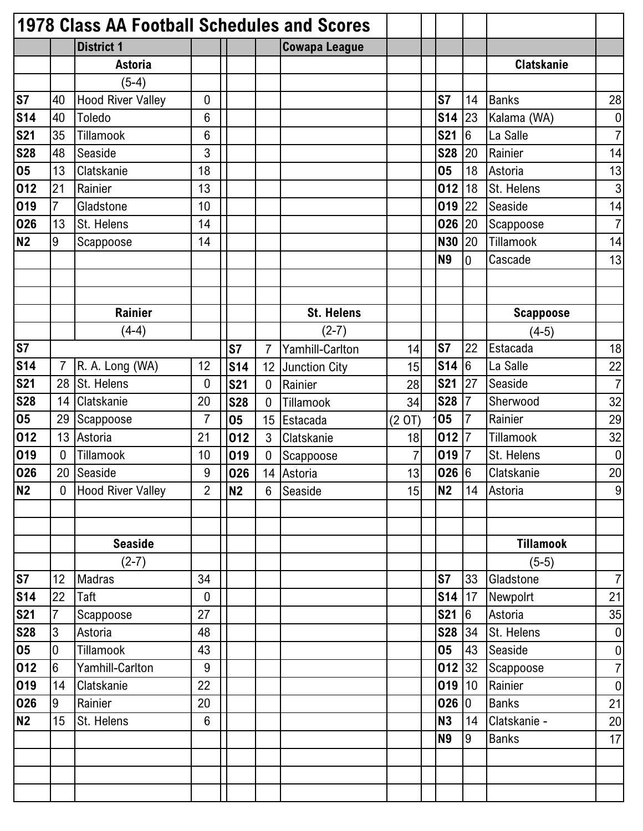|                | 1978 Class AA Football Schedules and Scores |                          |                  |                |                |                      |        |            |                 |                   |                  |
|----------------|---------------------------------------------|--------------------------|------------------|----------------|----------------|----------------------|--------|------------|-----------------|-------------------|------------------|
|                |                                             | <b>District 1</b>        |                  |                |                | <b>Cowapa League</b> |        |            |                 |                   |                  |
|                |                                             | <b>Astoria</b>           |                  |                |                |                      |        |            |                 | <b>Clatskanie</b> |                  |
|                |                                             | $(5-4)$                  |                  |                |                |                      |        |            |                 |                   |                  |
| <b>S7</b>      | 40                                          | <b>Hood River Valley</b> | $\boldsymbol{0}$ |                |                |                      |        | S7         | 14              | <b>Banks</b>      | 28               |
| <b>S14</b>     | 40                                          | Toledo                   | 6                |                |                |                      |        | <b>S14</b> | 23              | Kalama (WA)       | $\boldsymbol{0}$ |
| <b>S21</b>     | 35                                          | Tillamook                | 6                |                |                |                      |        | <b>S21</b> | $6\phantom{.}6$ | La Salle          | $\overline{7}$   |
| <b>S28</b>     | 48                                          | Seaside                  | 3                |                |                |                      |        | <b>S28</b> | 20              | Rainier           | 14               |
| 05             | 13                                          | Clatskanie               | 18               |                |                |                      |        | 05         | 18              | Astoria           | 13               |
| 012            | 21                                          | Rainier                  | 13               |                |                |                      |        | 012        | 18              | St. Helens        | 3                |
| 019            | 7                                           | Gladstone                | 10               |                |                |                      |        | 019        | 22              | Seaside           | 14               |
| 026            | 13                                          | St. Helens               | 14               |                |                |                      |        | 026        | 20              | Scappoose         | $\overline{7}$   |
| N2             | 9                                           | Scappoose                | 14               |                |                |                      |        | <b>N30</b> | 20              | Tillamook         | 14               |
|                |                                             |                          |                  |                |                |                      |        | <b>N9</b>  | 0               | Cascade           | 13               |
|                |                                             |                          |                  |                |                |                      |        |            |                 |                   |                  |
|                |                                             |                          |                  |                |                |                      |        |            |                 |                   |                  |
|                |                                             | Rainier                  |                  |                |                | <b>St. Helens</b>    |        |            |                 | <b>Scappoose</b>  |                  |
|                |                                             | $(4-4)$                  |                  |                |                | $(2-7)$              |        |            |                 | $(4-5)$           |                  |
| S7             |                                             |                          |                  | <b>S7</b>      | $\overline{7}$ | Yamhill-Carlton      | 14     | S7         | 22              | Estacada          | 18               |
| <b>S14</b>     | $\overline{7}$                              | R. A. Long (WA)          | 12               | <b>S14</b>     | 12             | <b>Junction City</b> | 15     | <b>S14</b> | $6\phantom{.}6$ | La Salle          | 22               |
| <b>S21</b>     | 28                                          | St. Helens               | $\overline{0}$   | <b>S21</b>     | $\overline{0}$ | Rainier              | 28     | <b>S21</b> | 27              | Seaside           | $\overline{7}$   |
| <b>S28</b>     | 14                                          | Clatskanie               | 20               | <b>S28</b>     | 0              | Tillamook            | 34     | <b>S28</b> | $\overline{7}$  | Sherwood          | 32               |
| 05             | 29                                          | Scappoose                | $\overline{7}$   | 05             | 15             | Estacada             | (2 0T) | 05         | $\overline{7}$  | Rainier           | 29               |
| 012            | 13                                          | Astoria                  | 21               | 012            | 3              | Clatskanie           | 18     | 012        | $\overline{7}$  | Tillamook         | 32               |
| 019            | 0                                           | Tillamook                | 10               | 019            | $\overline{0}$ | Scappoose            | 7      | 019        | 7               | St. Helens        | $\pmb{0}$        |
| 026            | 20                                          | Seaside                  | 9                | 026            | 14             | Astoria              | 13     | 026 6      |                 | Clatskanie        | 20               |
| N <sub>2</sub> | 0                                           | Hood River Valley        | $\overline{2}$   | N <sub>2</sub> | 6              | Seaside              | 15     | <b>N2</b>  | 14              | Astoria           | $9\,$            |
|                |                                             |                          |                  |                |                |                      |        |            |                 |                   |                  |
|                |                                             |                          |                  |                |                |                      |        |            |                 |                   |                  |
|                |                                             | <b>Seaside</b>           |                  |                |                |                      |        |            |                 | <b>Tillamook</b>  |                  |
|                |                                             | $(2-7)$                  |                  |                |                |                      |        |            |                 | $(5-5)$           |                  |
| S <sub>7</sub> | 12                                          | <b>Madras</b>            | 34               |                |                |                      |        | S7         | 33              | Gladstone         | $\overline{7}$   |
| <b>S14</b>     | 22                                          | Taft                     | $\boldsymbol{0}$ |                |                |                      |        | <b>S14</b> | 17              | Newpolrt          | 21               |
| <b>S21</b>     | 7                                           | Scappoose                | 27               |                |                |                      |        | <b>S21</b> | 6               | Astoria           | 35               |
| <b>S28</b>     | 3                                           | Astoria                  | 48               |                |                |                      |        | <b>S28</b> | 34              | St. Helens        | $\boldsymbol{0}$ |
| 05             | $\mathbf 0$                                 | Tillamook                | 43               |                |                |                      |        | 05         | 43              | Seaside           | $\pmb{0}$        |
| 012            | $6\phantom{1}6$                             | Yamhill-Carlton          | 9                |                |                |                      |        | 012        | 32              | Scappoose         | $\overline{7}$   |
| 019            | 14                                          | <b>Clatskanie</b>        | 22               |                |                |                      |        | 019        | 10              | Rainier           | $\pmb{0}$        |
| 026            | 9                                           | Rainier                  | 20               |                |                |                      |        | 026 0      |                 | <b>Banks</b>      | 21               |
| N2             | 15                                          | St. Helens               | $6\phantom{.}6$  |                |                |                      |        | <b>N3</b>  | 14              | Clatskanie -      | 20               |
|                |                                             |                          |                  |                |                |                      |        | <b>N9</b>  | 9               | <b>Banks</b>      | 17               |
|                |                                             |                          |                  |                |                |                      |        |            |                 |                   |                  |
|                |                                             |                          |                  |                |                |                      |        |            |                 |                   |                  |
|                |                                             |                          |                  |                |                |                      |        |            |                 |                   |                  |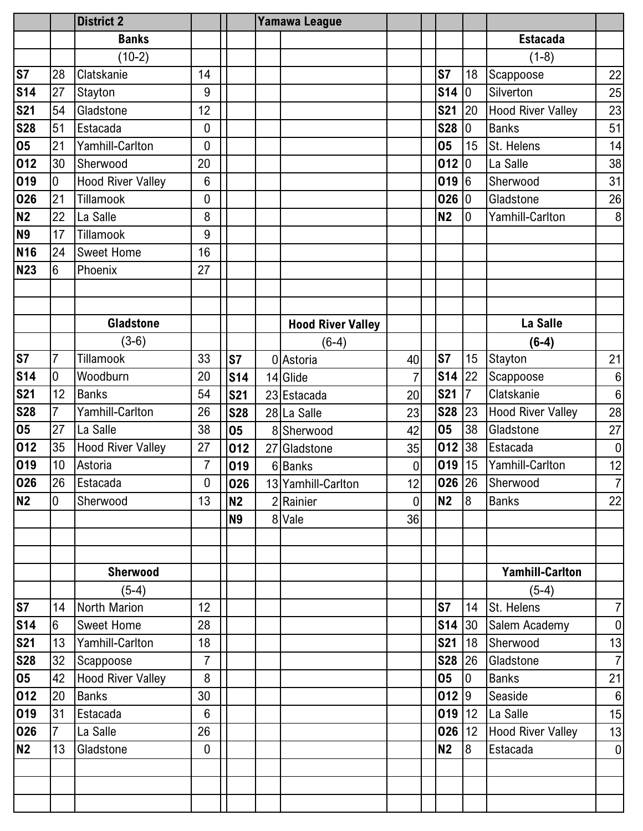|                 |                 | <b>District 2</b>        |                  |                | <b>Yamawa League</b>     |                |                 |                |                          |                  |
|-----------------|-----------------|--------------------------|------------------|----------------|--------------------------|----------------|-----------------|----------------|--------------------------|------------------|
|                 |                 | <b>Banks</b>             |                  |                |                          |                |                 |                | <b>Estacada</b>          |                  |
|                 |                 | $(10-2)$                 |                  |                |                          |                |                 |                | $(1-8)$                  |                  |
| <b>S7</b>       | 28              | Clatskanie               | 14               |                |                          |                | <b>S7</b>       | 18             | Scappoose                | 22               |
| <b>S14</b>      | 27              | <b>Stayton</b>           | 9                |                |                          |                | <b>S14</b>      | 10             | Silverton                | 25               |
| <b>S21</b>      | 54              | Gladstone                | 12               |                |                          |                | <b>S21</b>      | 20             | <b>Hood River Valley</b> | 23               |
| <b>S28</b>      | 51              | Estacada                 | $\mathbf 0$      |                |                          |                | <b>S28</b>      | $\overline{0}$ | <b>Banks</b>             | 51               |
| 05              | 21              | Yamhill-Carlton          | 0                |                |                          |                | 05              | 15             | St. Helens               | 14               |
| 012             | 30              | Sherwood                 | 20               |                |                          |                | 012 0           |                | La Salle                 | 38               |
| 019             | 0               | <b>Hood River Valley</b> | $6\phantom{1}6$  |                |                          |                | 019             | 16             | Sherwood                 | 31               |
| 026             | 21              | Tillamook                | 0                |                |                          |                | 026 0           |                | Gladstone                | 26               |
| <b>N2</b>       | 22              | La Salle                 | 8                |                |                          |                | <b>N2</b>       | l0             | Yamhill-Carlton          | 8                |
| <b>N9</b>       | 17              | Tillamook                | 9                |                |                          |                |                 |                |                          |                  |
| <b>N16</b>      | 24              | <b>Sweet Home</b>        | 16               |                |                          |                |                 |                |                          |                  |
| <b>N23</b>      | 6               | Phoenix                  | 27               |                |                          |                |                 |                |                          |                  |
|                 |                 |                          |                  |                |                          |                |                 |                |                          |                  |
|                 |                 |                          |                  |                |                          |                |                 |                |                          |                  |
|                 |                 | <b>Gladstone</b>         |                  |                | <b>Hood River Valley</b> |                |                 |                | La Salle                 |                  |
|                 |                 | $(3-6)$                  |                  |                | $(6-4)$                  |                |                 |                | $(6-4)$                  |                  |
| <b>S7</b>       | $\overline{7}$  | Tillamook                | 33               | <b>S7</b>      | 0 Astoria                | 40             | S7              | 15             | <b>Stayton</b>           | 21               |
| <b>S14</b>      | $\mathbf 0$     | Woodburn                 | 20               | <b>S14</b>     | 14 Glide                 | 7              | S <sub>14</sub> | 22             | Scappoose                | $\,6\,$          |
| <b>S21</b>      | 12              | <b>Banks</b>             | 54               | <b>S21</b>     | 23 Estacada              | 20             | <b>S21</b>      | $\overline{7}$ | Clatskanie               | $\,6\,$          |
| <b>S28</b>      | $\overline{7}$  | Yamhill-Carlton          | 26               | <b>S28</b>     | 28 La Salle              | 23             | <b>S28</b>      | 23             | <b>Hood River Valley</b> | 28               |
| 05              | 27              | La Salle                 | 38               | 05             | Sherwood                 | 42             | 05              | 38             | Gladstone                | 27               |
| 012             | 35              | <b>Hood River Valley</b> | 27               | 012            | 27 Gladstone             | 35             | $012$ 38        |                | Estacada                 | $\boldsymbol{0}$ |
| 019             | 10              | Astoria                  | $\overline{7}$   | 019            | 6 Banks                  | $\overline{0}$ | 019 15          |                | Yamhill-Carlton          | 12               |
| 026             | 26              | Estacada                 | 0                | 026            | 13 Yamhill-Carlton       | 12             |                 |                | 026 26 Sherwood          | $\overline{7}$   |
| N2              | $\overline{0}$  | Sherwood                 | 13               | N <sub>2</sub> | 2 Rainier                | $\overline{0}$ | N <sub>2</sub>  | 8              | <b>Banks</b>             | 22               |
|                 |                 |                          |                  | <b>N9</b>      | 8 Vale                   | 36             |                 |                |                          |                  |
|                 |                 |                          |                  |                |                          |                |                 |                |                          |                  |
|                 |                 |                          |                  |                |                          |                |                 |                |                          |                  |
|                 |                 | <b>Sherwood</b>          |                  |                |                          |                |                 |                | <b>Yamhill-Carlton</b>   |                  |
|                 |                 | $(5-4)$                  |                  |                |                          |                |                 |                | $(5-4)$                  |                  |
| <b>S7</b>       | 14              | North Marion             | 12               |                |                          |                | S7              | 14             | St. Helens               | $\overline{7}$   |
| S <sub>14</sub> | $6\phantom{.}6$ | <b>Sweet Home</b>        | 28               |                |                          |                | \$14 30         |                | Salem Academy            | $\overline{0}$   |
| <b>S21</b>      | 13              | Yamhill-Carlton          | 18               |                |                          |                | $$21$   18      |                | Sherwood                 | 13               |
| <b>S28</b>      | 32              | Scappoose                | $\overline{7}$   |                |                          |                | <b>S28</b> 26   |                | Gladstone                | $\overline{7}$   |
| 05              | 42              | Hood River Valley        | 8                |                |                          |                | 05              | $\overline{0}$ | <b>Banks</b>             | 21               |
| 012             | 20              | <b>Banks</b>             | 30               |                |                          |                | 012 9           |                | Seaside                  | 6                |
| 019             | 31              | Estacada                 | $6\phantom{1}$   |                |                          |                | $019$   12      |                | La Salle                 | 15               |
| 026             | $\overline{7}$  | La Salle                 | 26               |                |                          |                | 026 12          |                | <b>Hood River Valley</b> | 13               |
| <b>N2</b>       | 13              | Gladstone                | $\boldsymbol{0}$ |                |                          |                | <b>N2</b>       | 8              | Estacada                 | $\overline{0}$   |
|                 |                 |                          |                  |                |                          |                |                 |                |                          |                  |
|                 |                 |                          |                  |                |                          |                |                 |                |                          |                  |
|                 |                 |                          |                  |                |                          |                |                 |                |                          |                  |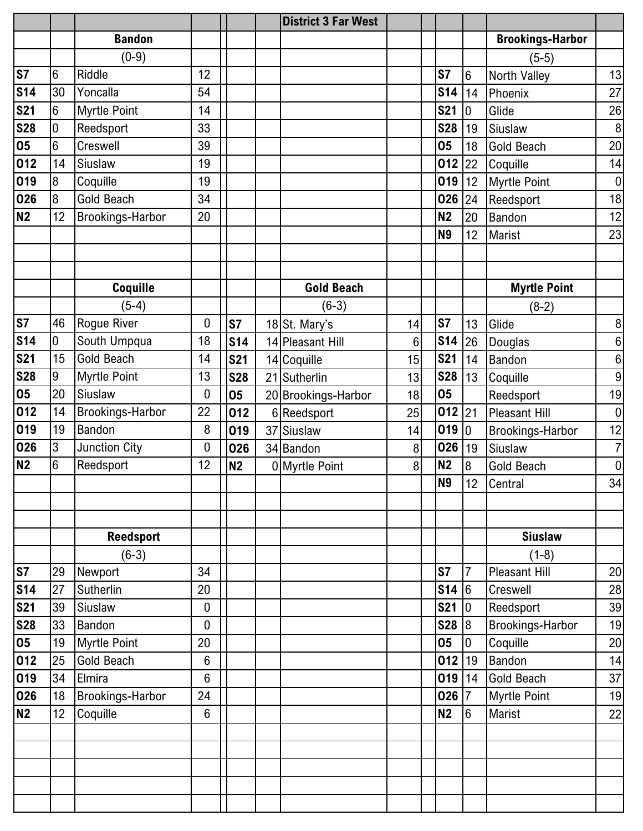|            |                 |                         |                 |                |    | <b>District 3 Far West</b> |                |                |                 |                         |                  |
|------------|-----------------|-------------------------|-----------------|----------------|----|----------------------------|----------------|----------------|-----------------|-------------------------|------------------|
|            |                 | <b>Bandon</b>           |                 |                |    |                            |                |                |                 | <b>Brookings-Harbor</b> |                  |
|            |                 | $(0-9)$                 |                 |                |    |                            |                |                |                 | $(5-5)$                 |                  |
| <b>S7</b>  | $6\phantom{.}6$ | Riddle                  | 12              |                |    |                            |                | S7             | 6               | North Valley            | 13               |
| <b>S14</b> | 30              | Yoncalla                | 54              |                |    |                            |                | <b>S14</b>     | 14              | Phoenix                 | 27               |
| <b>S21</b> | 6               | <b>Myrtle Point</b>     | 14              |                |    |                            |                | <b>S21</b>     | 0               | Glide                   | 26               |
| <b>S28</b> | 0               | Reedsport               | 33              |                |    |                            |                | <b>S28</b>     | 19              | Siuslaw                 | $\, 8$           |
| 05         | 6               | Creswell                | 39              |                |    |                            |                | 05             | 18              | <b>Gold Beach</b>       | 20               |
| 012        | 14              | Siuslaw                 | 19              |                |    |                            |                | 012            | 22              | Coquille                | 14               |
| 019        | 8               | Coquille                | 19              |                |    |                            |                | 019            | 12              | <b>Myrtle Point</b>     | $\pmb{0}$        |
| 026        | 8               | Gold Beach              | 34              |                |    |                            |                | 026            | 24              | Reedsport               | 18               |
| <b>N2</b>  | 12              | <b>Brookings-Harbor</b> | 20              |                |    |                            |                | <b>N2</b>      | 20              | Bandon                  | 12               |
|            |                 |                         |                 |                |    |                            |                | <b>N9</b>      | 12              | Marist                  | 23               |
|            |                 |                         |                 |                |    |                            |                |                |                 |                         |                  |
|            |                 |                         |                 |                |    |                            |                |                |                 |                         |                  |
|            |                 | Coquille                |                 |                |    | <b>Gold Beach</b>          |                |                |                 | <b>Myrtle Point</b>     |                  |
|            |                 | $(5-4)$                 |                 |                |    | $(6-3)$                    |                |                |                 | $(8-2)$                 |                  |
| <b>S7</b>  | 46              | Rogue River             | 0               | S7             |    | 18 St. Mary's              | 14             | S7             | 13              | Glide                   | $\, 8$           |
| <b>S14</b> | 0               | South Umpqua            | 18              | <b>S14</b>     |    | 14 Pleasant Hill           | $6\phantom{1}$ | <b>S14</b>     | 26              | Douglas                 | $\,6\,$          |
| <b>S21</b> | 15              | Gold Beach              | 14              | <b>S21</b>     |    | 14 Coquille                | 15             | <b>S21</b>     | 14              | Bandon                  | 6                |
| <b>S28</b> | 9               | <b>Myrtle Point</b>     | 13              | <b>S28</b>     |    | 21 Sutherlin               | 13             | <b>S28</b>     | 13              | Coquille                | 9                |
| 05         | 20              | Siuslaw                 | 0               | 05             |    | 20 Brookings-Harbor        | 18             | 05             |                 | Reedsport               | 19               |
| 012        | 14              | <b>Brookings-Harbor</b> | 22              | 012            |    | 6 Reedsport                | 25             | $012$ 21       |                 | <b>Pleasant Hill</b>    | $\boldsymbol{0}$ |
| 019        | 19              | <b>Bandon</b>           | 8               | 019            | 37 | Siuslaw                    | 14             | 019 0          |                 | Brookings-Harbor        | 12               |
| 026        | 3               | Junction City           | 0               | 026            |    | 34 Bandon                  | 8              | 026            | 19              | Siuslaw                 | $\overline{7}$   |
| <b>N2</b>  | 6               | Reedsport               | 12              | N <sub>2</sub> |    | 0 Myrtle Point             | 8              | <b>N2</b>      | $\overline{8}$  | <b>Gold Beach</b>       | $\pmb{0}$        |
|            |                 |                         |                 |                |    |                            |                | N <sub>9</sub> | 12              | Central                 | 34               |
|            |                 |                         |                 |                |    |                            |                |                |                 |                         |                  |
|            |                 |                         |                 |                |    |                            |                |                |                 |                         |                  |
|            |                 | <b>Reedsport</b>        |                 |                |    |                            |                |                |                 | <b>Siuslaw</b>          |                  |
|            |                 | $(6-3)$                 |                 |                |    |                            |                |                |                 | $(1-8)$                 |                  |
| S7         | 29              | Newport                 | 34              |                |    |                            |                | S7             | 7               | <b>Pleasant Hill</b>    | 20               |
| <b>S14</b> | 27              | Sutherlin               | 20              |                |    |                            |                | <b>S14</b>     | 6               | Creswell                | 28               |
| <b>S21</b> | 39              | Siuslaw                 | $\mathbf 0$     |                |    |                            |                | <b>S21</b>     | 10              | Reedsport               | 39               |
| <b>S28</b> | 33              | Bandon                  | $\mathbf 0$     |                |    |                            |                | S28 8          |                 | Brookings-Harbor        | 19               |
| 05         | 19              | <b>Myrtle Point</b>     | 20              |                |    |                            |                | 05             | $\overline{0}$  | Coquille                | 20               |
| 012        | 25              | <b>Gold Beach</b>       | $6\phantom{1}6$ |                |    |                            |                | $012$  19      |                 | Bandon                  | 14               |
| 019        | 34              | Elmira                  | $6\phantom{1}6$ |                |    |                            |                | 019            | 14              | <b>Gold Beach</b>       | 37               |
| 026        | 18              | <b>Brookings-Harbor</b> | 24              |                |    |                            |                | 026            | $\overline{7}$  | <b>Myrtle Point</b>     | 19               |
| <b>N2</b>  | 12              | Coquille                | $6\phantom{1}6$ |                |    |                            |                | <b>N2</b>      | $6\overline{6}$ | Marist                  | 22               |
|            |                 |                         |                 |                |    |                            |                |                |                 |                         |                  |
|            |                 |                         |                 |                |    |                            |                |                |                 |                         |                  |
|            |                 |                         |                 |                |    |                            |                |                |                 |                         |                  |
|            |                 |                         |                 |                |    |                            |                |                |                 |                         |                  |
|            |                 |                         |                 |                |    |                            |                |                |                 |                         |                  |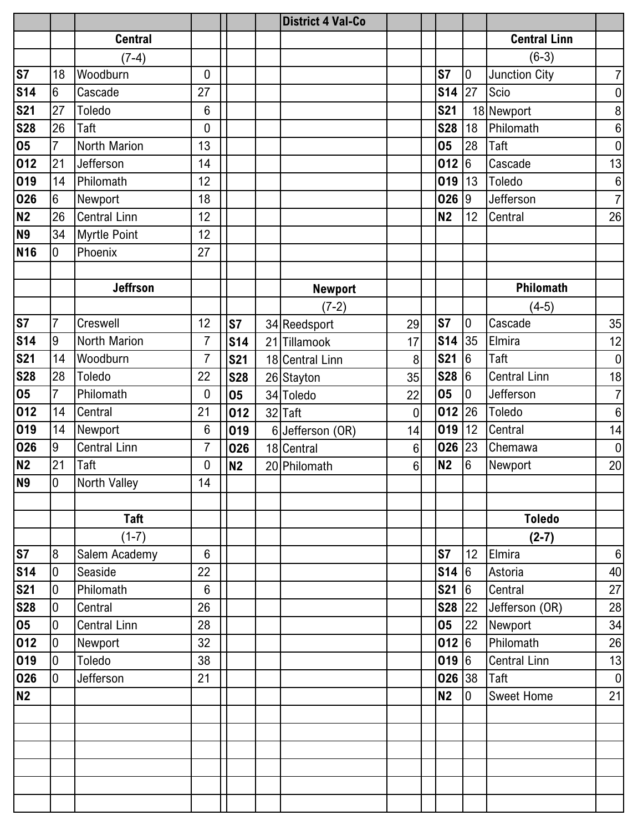|                |                  |                     |                 |            | <b>District 4 Val-Co</b> |                |                |                  |                      |                  |
|----------------|------------------|---------------------|-----------------|------------|--------------------------|----------------|----------------|------------------|----------------------|------------------|
|                |                  | <b>Central</b>      |                 |            |                          |                |                |                  | <b>Central Linn</b>  |                  |
|                |                  | $(7-4)$             |                 |            |                          |                |                |                  | $(6-3)$              |                  |
| <b>S7</b>      | 18               | Woodburn            | $\overline{0}$  |            |                          |                | <b>S7</b>      | $\overline{0}$   | <b>Junction City</b> | $\overline{7}$   |
| <b>S14</b>     | $6\phantom{.}6$  | Cascade             | 27              |            |                          |                | $$14$ 27       |                  | Scio                 | $\overline{0}$   |
| <b>S21</b>     | 27               | Toledo              | 6               |            |                          |                | <b>S21</b>     |                  | 18 Newport           | 8 <sup>1</sup>   |
| <b>S28</b>     | 26               | Taft                | $\mathbf 0$     |            |                          |                | <b>S28</b>     | 18               | Philomath            | $\boldsymbol{6}$ |
| 05             | $\overline{7}$   | North Marion        | 13              |            |                          |                | 05             | 28               | Taft                 | $\overline{0}$   |
| 012            | 21               | Jefferson           | 14              |            |                          |                | 012            | $6\overline{6}$  | Cascade              | 13               |
| 019            | 14               | Philomath           | 12              |            |                          |                | 019            | 13               | Toledo               | $6\,$            |
| 026            | $6\phantom{.}6$  | Newport             | 18              |            |                          |                | 026 9          |                  | Jefferson            | 7 <sup>1</sup>   |
| <b>N2</b>      | 26               | <b>Central Linn</b> | 12              |            |                          |                | N <sub>2</sub> | 12               | Central              | 26               |
| <b>N9</b>      | 34               | <b>Myrtle Point</b> | 12              |            |                          |                |                |                  |                      |                  |
| <b>N16</b>     | 0                | Phoenix             | 27              |            |                          |                |                |                  |                      |                  |
|                |                  |                     |                 |            |                          |                |                |                  |                      |                  |
|                |                  | <b>Jeffrson</b>     |                 |            | <b>Newport</b>           |                |                |                  | Philomath            |                  |
|                |                  |                     |                 |            | $(7-2)$                  |                |                |                  | $(4-5)$              |                  |
| <b>S7</b>      | $\overline{7}$   | Creswell            | 12              | <b>S7</b>  | 34 Reedsport             | 29             | <b>S7</b>      | $\mathbf 0$      | Cascade              | 35               |
| <b>S14</b>     | 9                | North Marion        | $\overline{7}$  | <b>S14</b> | 21 Tillamook             | 17             | <b>S14</b>     | 35               | Elmira               | 12               |
| <b>S21</b>     | 14               | Woodburn            | $\overline{7}$  | <b>S21</b> | 18 Central Linn          | 8              | <b>S21</b>     | 6                | Taft                 | 0                |
| <b>S28</b>     | 28               | Toledo              | 22              | <b>S28</b> | 26 Stayton               | 35             | <b>S28</b>     | 16               | Central Linn         | 18               |
| 05             | $\overline{7}$   | Philomath           | 0               | 05         | 34 Toledo                | 22             | 05             | $\boldsymbol{0}$ | Jefferson            | 7 <sup>1</sup>   |
| 012            | 14               | Central             | 21              | 012        | 32 Taft                  | 0              | 012            | 26               | Toledo               | 6                |
| 019            | 14               | Newport             | $6\phantom{1}6$ | 019        | 6 Jefferson (OR)         | 14             | 019            | 12               | Central              | 14               |
| 026            | 9                | <b>Central Linn</b> | 7               | 026        | 18 Central               | $6\phantom{a}$ | $026$ 23       |                  | Chemawa              | 0                |
| <b>N2</b>      | 21               | Taft                | 0               | <b>N2</b>  | 20 Philomath             | $6\phantom{a}$ | <b>N2</b>      | $6\phantom{.}$   | Newport              | 20               |
| <b>N9</b>      | $\pmb{0}$        | North Valley        | 14<br>ப         |            |                          |                |                |                  |                      |                  |
|                |                  |                     |                 |            |                          |                |                |                  |                      |                  |
|                |                  | Taft                |                 |            |                          |                |                |                  | <b>Toledo</b>        |                  |
|                |                  | $(1-7)$             |                 |            |                          |                |                |                  | $(2-7)$              |                  |
| S <sub>7</sub> | $\bf 8$          | Salem Academy       | $6\phantom{1}$  |            |                          |                | <b>S7</b>      | 12               | Elmira               | $6 \mid$         |
| <b>S14</b>     | $\mathbf 0$      | Seaside             | 22              |            |                          |                | \$14 6         |                  | Astoria              | 40               |
| <b>S21</b>     | $\boldsymbol{0}$ | Philomath           | $6\phantom{1}$  |            |                          |                | <b>S21</b>     | $6\overline{6}$  | Central              | 27               |
| <b>S28</b>     | $\mathbf 0$      | Central             | 26              |            |                          |                | $S28$ 22       |                  | Jefferson (OR)       | 28               |
| 05             | $\overline{0}$   | <b>Central Linn</b> | 28              |            |                          |                | 05             | 22               | Newport              | 34               |
| 012            | $\overline{0}$   | Newport             | 32              |            |                          |                | 012 6          |                  | Philomath            | 26               |
| 019            | $\overline{0}$   | Toledo              | 38              |            |                          |                | 0196           |                  | <b>Central Linn</b>  | 13               |
| 026            | $\mathbf 0$      | Jefferson           | 21              |            |                          |                | 026 38         |                  | Taft                 | $\boldsymbol{0}$ |
| <b>N2</b>      |                  |                     |                 |            |                          |                | N2             | $\overline{0}$   | <b>Sweet Home</b>    | 21               |
|                |                  |                     |                 |            |                          |                |                |                  |                      |                  |
|                |                  |                     |                 |            |                          |                |                |                  |                      |                  |
|                |                  |                     |                 |            |                          |                |                |                  |                      |                  |
|                |                  |                     |                 |            |                          |                |                |                  |                      |                  |
|                |                  |                     |                 |            |                          |                |                |                  |                      |                  |
|                |                  |                     |                 |            |                          |                |                |                  |                      |                  |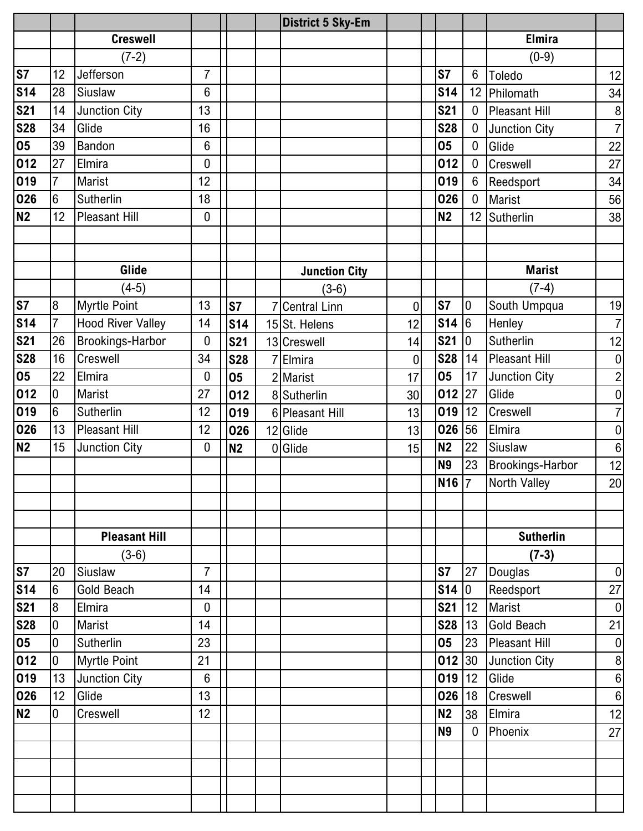|            |                 |                          |                  |            | <b>District 5 Sky-Em</b> |                |                          |                |                      |                  |
|------------|-----------------|--------------------------|------------------|------------|--------------------------|----------------|--------------------------|----------------|----------------------|------------------|
|            |                 | <b>Creswell</b>          |                  |            |                          |                |                          |                | <b>Elmira</b>        |                  |
|            |                 | $(7-2)$                  |                  |            |                          |                |                          |                | $(0-9)$              |                  |
| <b>S7</b>  | 12              | Jefferson                | $\overline{7}$   |            |                          |                | S7                       | 6              | Toledo               | 12               |
| <b>S14</b> | 28              | Siuslaw                  | 6                |            |                          |                | <b>S14</b>               |                | 12 Philomath         | 34               |
| <b>S21</b> | 14              | Junction City            | 13               |            |                          |                | <b>S21</b>               | 0              | <b>Pleasant Hill</b> | $\bf 8$          |
| <b>S28</b> | 34              | Glide                    | 16               |            |                          |                | <b>S28</b>               | $\mathbf 0$    | Junction City        | $\overline{7}$   |
| 05         | 39              | <b>Bandon</b>            | $6\phantom{1}6$  |            |                          |                | 05                       | 0              | Glide                | 22               |
| 012        | 27              | Elmira                   | 0                |            |                          |                | 012                      | $\overline{0}$ | Creswell             | 27               |
| 019        | $\overline{7}$  | <b>Marist</b>            | 12               |            |                          |                | 019                      | 6              | Reedsport            | 34               |
| 026        | 6               | Sutherlin                | 18               |            |                          |                | 026                      | 0              | <b>Marist</b>        | 56               |
| <b>N2</b>  | 12              | <b>Pleasant Hill</b>     | $\mathbf 0$      |            |                          |                | <b>N2</b>                | 12             | Sutherlin            | 38               |
|            |                 |                          |                  |            |                          |                |                          |                |                      |                  |
|            |                 |                          |                  |            |                          |                |                          |                |                      |                  |
|            |                 | Glide                    |                  |            | <b>Junction City</b>     |                |                          |                | <b>Marist</b>        |                  |
|            |                 | $(4-5)$                  |                  |            | $(3-6)$                  |                |                          |                | $(7-4)$              |                  |
| <b>S7</b>  | 8               | <b>Myrtle Point</b>      | 13               | <b>S7</b>  | <b>Central Linn</b>      | $\mathbf 0$    | S7                       | $\mathbf 0$    | South Umpqua         | 19               |
| <b>S14</b> | $\overline{7}$  | <b>Hood River Valley</b> | 14               | <b>S14</b> | 15 St. Helens            | 12             | $\overline{\text{S}}$ 14 | 6              | Henley               | $\overline{7}$   |
| <b>S21</b> | 26              | <b>Brookings-Harbor</b>  | 0                | <b>S21</b> | 13 Creswell              | 14             | <b>S21</b>               | $\mathbf 0$    | Sutherlin            | 12               |
| <b>S28</b> | 16              | Creswell                 | 34               | <b>S28</b> | Elmira                   | $\overline{0}$ | <b>S28</b>               | 14             | <b>Pleasant Hill</b> | $\pmb{0}$        |
| 05         | 22              | Elmira                   | 0                | 05         | 2 Marist                 | 17             | 05                       | 17             | Junction City        | $\overline{c}$   |
| 012        | 0               | <b>Marist</b>            | 27               | 012        | 8 Sutherlin              | 30             | 012                      | 27             | Glide                | $\pmb{0}$        |
| 019        | $6\phantom{.}6$ | Sutherlin                | 12               | 019        | 6 Pleasant Hill          | 13             | 019                      | 12             | Creswell             | $\overline{7}$   |
| 026        | 13              | <b>Pleasant Hill</b>     | 12               | 026        | 12 Glide                 | 13             | 026                      | 56             | Elmira               | $\pmb{0}$        |
| <b>N2</b>  | 15              | <b>Junction City</b>     | $\boldsymbol{0}$ | <b>N2</b>  | 0 Glide                  | 15             | <b>N2</b>                | 22             | Siuslaw              | $\boldsymbol{6}$ |
|            |                 |                          |                  |            |                          |                | <b>N9</b>                | 23             | Brookings-Harbor     | 12               |
|            |                 |                          |                  |            |                          |                | N <sub>16</sub> 7        |                | North Valley         | 20               |
|            |                 |                          |                  |            |                          |                |                          |                |                      |                  |
|            |                 |                          |                  |            |                          |                |                          |                |                      |                  |
|            |                 | <b>Pleasant Hill</b>     |                  |            |                          |                |                          |                | <b>Sutherlin</b>     |                  |
|            |                 | $(3-6)$                  |                  |            |                          |                |                          |                | $(7-3)$              |                  |
| S7         | 20              | Siuslaw                  | $\overline{7}$   |            |                          |                | <b>S7</b>                | 27             | Douglas              | $\boldsymbol{0}$ |
| <b>S14</b> | $6\phantom{.}6$ | Gold Beach               | 14               |            |                          |                | S14 0                    |                | Reedsport            | $27\,$           |
| <b>S21</b> | 8               | Elmira                   | $\overline{0}$   |            |                          |                | <b>S21</b>               | 12             | Marist               | $\pmb{0}$        |
| <b>S28</b> | $\overline{0}$  | <b>Marist</b>            | 14               |            |                          |                | <b>S28</b>               | 13             | Gold Beach           | 21               |
| 05         | $\mathbf 0$     | Sutherlin                | 23               |            |                          |                | 05                       | 23             | Pleasant Hill        | $\pmb{0}$        |
| 012        | $\overline{0}$  | <b>Myrtle Point</b>      | 21               |            |                          |                | 012 30                   |                | <b>Junction City</b> | $\bf 8$          |
| 019        | 13              | <b>Junction City</b>     | $6\phantom{1}6$  |            |                          |                | 019                      | 12             | Glide                | $\boldsymbol{6}$ |
| 026        | 12 <sup>°</sup> | Glide                    | 13               |            |                          |                | 026                      | 18             | Creswell             | $\boldsymbol{6}$ |
| <b>N2</b>  | $\overline{0}$  | Creswell                 | 12               |            |                          |                | <b>N2</b>                | 38             | Elmira               | 12               |
|            |                 |                          |                  |            |                          |                | <b>N9</b>                | $\overline{0}$ | Phoenix              | 27               |
|            |                 |                          |                  |            |                          |                |                          |                |                      |                  |
|            |                 |                          |                  |            |                          |                |                          |                |                      |                  |
|            |                 |                          |                  |            |                          |                |                          |                |                      |                  |
|            |                 |                          |                  |            |                          |                |                          |                |                      |                  |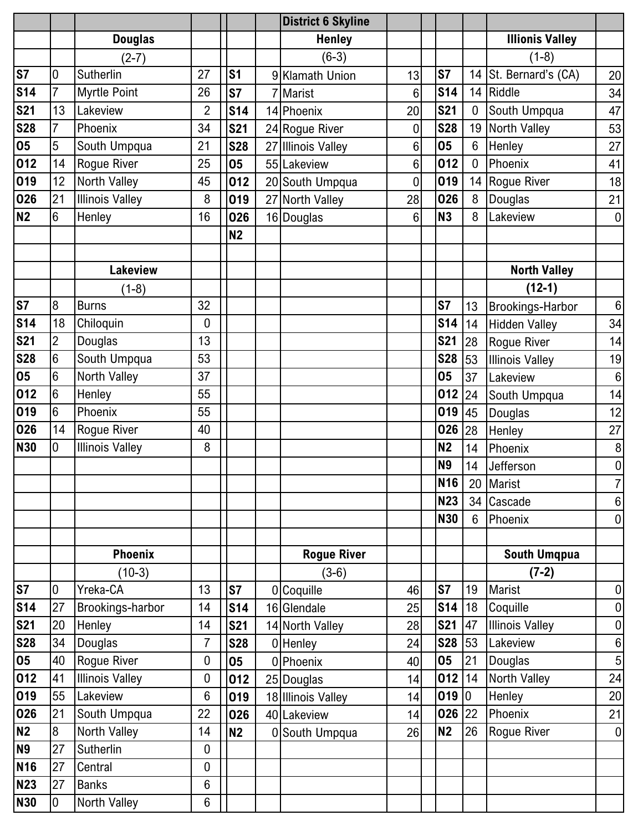|                |                  |                        |                |                |                | <b>District 6 Skyline</b> |                |            |                |                         |                  |
|----------------|------------------|------------------------|----------------|----------------|----------------|---------------------------|----------------|------------|----------------|-------------------------|------------------|
|                |                  | <b>Douglas</b>         |                |                |                | <b>Henley</b>             |                |            |                | <b>Illionis Valley</b>  |                  |
|                |                  | (2-7)                  |                |                |                | $(6-3)$                   |                |            |                | $(1-8)$                 |                  |
| S <sub>7</sub> | $\mathbf 0$      | Sutherlin              | 27             | S <sub>1</sub> | 9 <sup>1</sup> | <b>Klamath Union</b>      | 13             | S7         |                | 14 St. Bernard's (CA)   | 20               |
| <b>S14</b>     | $\overline{7}$   | <b>Myrtle Point</b>    | 26             | <b>S7</b>      |                | <b>Marist</b>             | $6\phantom{1}$ | <b>S14</b> | 14             | Riddle                  | 34               |
| <b>S21</b>     | 13               | Lakeview               | 2              | <b>S14</b>     |                | 14 Phoenix                | 20             | <b>S21</b> | $\mathbf 0$    | South Umpqua            | 47               |
| <b>S28</b>     | $\overline{7}$   | Phoenix                | 34             | <b>S21</b>     |                | 24 Rogue River            | $\mathbf 0$    | <b>S28</b> | 19             | <b>North Valley</b>     | 53               |
| 05             | 5                | South Umpqua           | 21             | <b>S28</b>     |                | 27 Illinois Valley        | 6              | 05         | 6              | Henley                  | 27               |
| 012            | 14               | Rogue River            | 25             | 05             |                | 55 Lakeview               | $6\phantom{1}$ | 012        | $\mathbf 0$    | Phoenix                 | 41               |
| 019            | 12               | <b>North Valley</b>    | 45             | 012            |                | 20 South Umpqua           | $\mathbf 0$    | 019        | 14             | Rogue River             | 18               |
| 026            | 21               | <b>Illinois Valley</b> | 8              | 019            |                | 27 North Valley           | 28             | 026        | 8              | Douglas                 | 21               |
| <b>N2</b>      | 6                | Henley                 | 16             | 026            |                | 16 Douglas                | 6              | <b>N3</b>  | 8              | Lakeview                | $\boldsymbol{0}$ |
|                |                  |                        |                | N2             |                |                           |                |            |                |                         |                  |
|                |                  |                        |                |                |                |                           |                |            |                |                         |                  |
|                |                  | <b>Lakeview</b>        |                |                |                |                           |                |            |                | <b>North Valley</b>     |                  |
|                |                  | $(1-8)$                |                |                |                |                           |                |            |                | $(12-1)$                |                  |
| <b>S7</b>      | $\boldsymbol{8}$ | <b>Burns</b>           | 32             |                |                |                           |                | S7         | 13             | <b>Brookings-Harbor</b> | $\,6\,$          |
| <b>S14</b>     | 18               | Chiloquin              | 0              |                |                |                           |                | <b>S14</b> | 14             | <b>Hidden Valley</b>    | 34               |
| <b>S21</b>     | $\overline{2}$   | Douglas                | 13             |                |                |                           |                | <b>S21</b> | 28             | Rogue River             | 14               |
| <b>S28</b>     | $6\phantom{.}6$  | South Umpqua           | 53             |                |                |                           |                | <b>S28</b> | 53             | <b>Illinois Valley</b>  | 19               |
| 05             | 6                | North Valley           | 37             |                |                |                           |                | 05         | 37             | Lakeview                | $\,6\,$          |
| 012            | 6                | Henley                 | 55             |                |                |                           |                | 012        | 24             | South Umpqua            | 14               |
| 019            | 6                | Phoenix                | 55             |                |                |                           |                | 019        | 45             | Douglas                 | 12               |
| 026            | 14               | <b>Rogue River</b>     | 40             |                |                |                           |                | 026        | 28             | Henley                  | 27               |
| <b>N30</b>     | 0                | <b>Illinois Valley</b> | 8              |                |                |                           |                | <b>N2</b>  | 14             | Phoenix                 | $\, 8$           |
|                |                  |                        |                |                |                |                           |                | <b>N9</b>  | 14             | Jefferson               | $\pmb{0}$        |
|                |                  |                        |                |                |                |                           |                | <b>N16</b> |                | 20 Marist               | $\overline{7}$   |
|                |                  |                        |                |                |                |                           |                | <b>N23</b> |                | 34 Cascade              | $\boldsymbol{6}$ |
|                |                  |                        |                |                |                |                           |                | <b>N30</b> | $6\phantom{1}$ | Phoenix                 | $\boldsymbol{0}$ |
|                |                  |                        |                |                |                |                           |                |            |                |                         |                  |
|                |                  | <b>Phoenix</b>         |                |                |                | <b>Rogue River</b>        |                |            |                | <b>South Umqpua</b>     |                  |
|                |                  | $(10-3)$               |                |                |                | $(3-6)$                   |                |            |                | $(7-2)$                 |                  |
| <b>S7</b>      | 0                | Yreka-CA               | 13             | <b>S7</b>      |                | 0 Coquille                | 46             | S7         | 19             | <b>Marist</b>           | $\overline{0}$   |
| <b>S14</b>     | 27               | Brookings-harbor       | 14             | <b>S14</b>     |                | 16 Glendale               | 25             | <b>S14</b> | 18             | Coquille                | $\pmb{0}$        |
| <b>S21</b>     | 20               | Henley                 | 14             | <b>S21</b>     |                | 14 North Valley           | 28             | <b>S21</b> | 47             | <b>Illinois Valley</b>  | $\pmb{0}$        |
| <b>S28</b>     | 34               | Douglas                | $\overline{7}$ | <b>S28</b>     |                | 0 Henley                  | 24             | <b>S28</b> | 53             | Lakeview                | 6                |
| 05             | 40               | Rogue River            | $\mathbf 0$    | 05             |                | 0 Phoenix                 | 40             | 05         | 21             | Douglas                 | $\overline{5}$   |
| 012            | 41               | <b>Illinois Valley</b> | 0              | 012            |                | 25 Douglas                | 14             | $012$ 14   |                | North Valley            | 24               |
| 019            | 55               | Lakeview               | 6              | 019            |                | 18 Illinois Valley        | 14             | 019 0      |                | Henley                  | 20               |
| 026            | 21               | South Umpqua           | 22             | 026            |                | 40 Lakeview               | 14             | $026$ 22   |                | Phoenix                 | 21               |
| <b>N2</b>      | 8                | North Valley           | 14             | N2             |                | 0 South Umpqua            | 26             | <b>N2</b>  | 26             | Rogue River             | $\overline{0}$   |
| <b>N9</b>      | 27               | Sutherlin              | $\mathbf 0$    |                |                |                           |                |            |                |                         |                  |
| <b>N16</b>     | 27               | Central                | $\mathbf 0$    |                |                |                           |                |            |                |                         |                  |
| <b>N23</b>     | 27               | <b>Banks</b>           | $6\phantom{1}$ |                |                |                           |                |            |                |                         |                  |
| <b>N30</b>     | 0                | North Valley           | $6\phantom{1}$ |                |                |                           |                |            |                |                         |                  |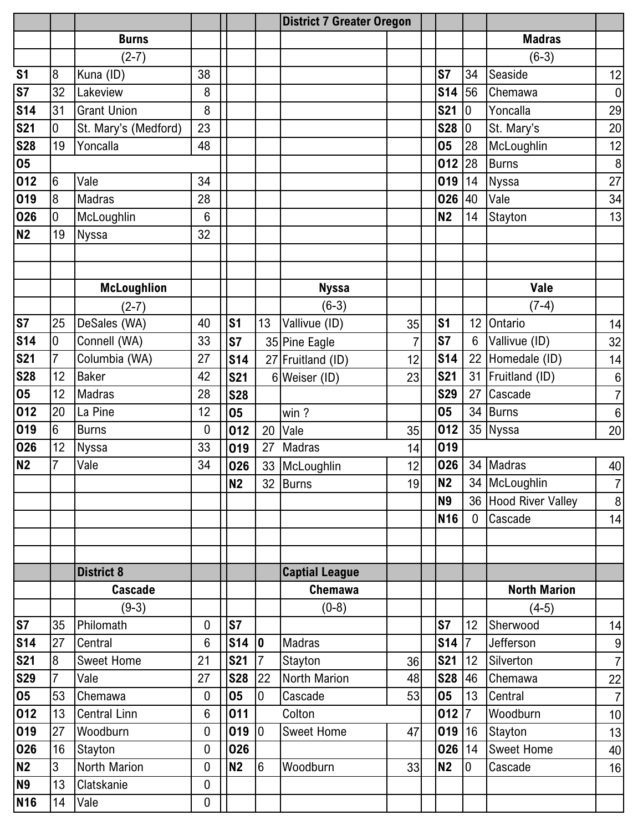|                 |                 |                      |                  |                |                 | <b>District 7 Greater Oregon</b> |    |                |                 |                      |                  |
|-----------------|-----------------|----------------------|------------------|----------------|-----------------|----------------------------------|----|----------------|-----------------|----------------------|------------------|
|                 |                 | <b>Burns</b>         |                  |                |                 |                                  |    |                |                 | <b>Madras</b>        |                  |
|                 |                 | $(2-7)$              |                  |                |                 |                                  |    |                |                 | $(6-3)$              |                  |
| S <sub>1</sub>  | 8               | Kuna (ID)            | 38               |                |                 |                                  |    | S7             | 34              | Seaside              | 12               |
| S7              | 32              | Lakeview             | 8                |                |                 |                                  |    | <b>S14</b>     | 56              | Chemawa              | $\pmb{0}$        |
| S <sub>14</sub> | 31              | <b>Grant Union</b>   | 8                |                |                 |                                  |    | <b>S21</b>     | 0               | Yoncalla             | 29               |
| <b>S21</b>      | 0               | St. Mary's (Medford) | 23               |                |                 |                                  |    | <b>S28</b>     | $\mathbf 0$     | St. Mary's           | 20               |
| <b>S28</b>      | 19              | Yoncalla             | 48               |                |                 |                                  |    | 05             | 28              | McLoughlin           | 12               |
| 05              |                 |                      |                  |                |                 |                                  |    | 012            | 28              | <b>Burns</b>         | $\, 8$           |
| 012             | $6\phantom{1}6$ | Vale                 | 34               |                |                 |                                  |    | 019            | 14              | <b>Nyssa</b>         | 27               |
| 019             | 8               | <b>Madras</b>        | 28               |                |                 |                                  |    | 026            | 40              | Vale                 | 34               |
| 026             | $\overline{0}$  | McLoughlin           | 6                |                |                 |                                  |    | <b>N2</b>      | 14              | Stayton              | 13               |
| N <sub>2</sub>  | 19              | Nyssa                | 32               |                |                 |                                  |    |                |                 |                      |                  |
|                 |                 |                      |                  |                |                 |                                  |    |                |                 |                      |                  |
|                 |                 |                      |                  |                |                 |                                  |    |                |                 |                      |                  |
|                 |                 | <b>McLoughlion</b>   |                  |                |                 | <b>Nyssa</b>                     |    |                |                 | Vale                 |                  |
|                 |                 | $(2-7)$              |                  |                |                 | $(6-3)$                          |    |                |                 | $(7-4)$              |                  |
| <b>S7</b>       | 25              | DeSales (WA)         | 40               | S <sub>1</sub> | 13              | Vallivue (ID)                    | 35 | S <sub>1</sub> | 12              | Ontario              | 14               |
| S <sub>14</sub> | 0               | Connell (WA)         | 33               | <b>S7</b>      |                 | 35 Pine Eagle                    | 7  | S7             | $6\phantom{1}6$ | Vallivue (ID)        | 32               |
| <b>S21</b>      | 7               | Columbia (WA)        | 27               | <b>S14</b>     |                 | 27 Fruitland (ID)                | 12 | <b>S14</b>     |                 | 22 Homedale (ID)     | 14               |
| <b>S28</b>      | 12              | <b>Baker</b>         | 42               | <b>S21</b>     |                 | 6 Weiser (ID)                    | 23 | <b>S21</b>     | 31              | Fruitland (ID)       | $\,6\,$          |
| 05              | 12              | <b>Madras</b>        | 28               | <b>S28</b>     |                 |                                  |    | <b>S29</b>     | 27              | Cascade              | $\overline{7}$   |
| 012             | 20              | La Pine              | 12               | 05             |                 | win?                             |    | 05             |                 | 34 Burns             | $\,6\,$          |
| 019             | 6               | <b>Burns</b>         | 0                | 012            | 20              | Vale                             | 35 | 012            |                 | 35 Nyssa             | 20               |
| 026             | 12              | Nyssa                | 33               | 019            | 27              | Madras                           | 14 | 019            |                 |                      |                  |
| N <sub>2</sub>  | 7               | Vale                 | 34               | 026            | 33              | McLoughlin                       | 12 | 026            |                 | 34 Madras            | 40               |
|                 |                 |                      |                  | N <sub>2</sub> |                 | 32 Burns                         | 19 | <b>N2</b>      |                 | 34 McLoughlin        | $\boldsymbol{7}$ |
|                 |                 |                      |                  |                |                 |                                  |    | <b>N9</b>      |                 | 36 Hood River Valley | $\,8\,$          |
|                 |                 |                      |                  |                |                 |                                  |    | <b>N16</b>     | $\overline{0}$  | Cascade              | 14               |
|                 |                 |                      |                  |                |                 |                                  |    |                |                 |                      |                  |
|                 |                 |                      |                  |                |                 |                                  |    |                |                 |                      |                  |
|                 |                 | <b>District 8</b>    |                  |                |                 | <b>Captial League</b>            |    |                |                 |                      |                  |
|                 |                 | <b>Cascade</b>       |                  |                |                 | Chemawa                          |    |                |                 | <b>North Marion</b>  |                  |
|                 |                 | $(9-3)$              |                  |                |                 | $(0-8)$                          |    |                |                 | $(4-5)$              |                  |
| <b>S7</b>       | 35              | Philomath            | $\overline{0}$   | <b>S7</b>      |                 |                                  |    | S7             | 12              | Sherwood             | 14               |
| S <sub>14</sub> | 27              | Central              | 6                | <b>S14</b>     | 0               | Madras                           |    | <b>S14</b>     | $\overline{7}$  | Jefferson            | $\boldsymbol{9}$ |
| <b>S21</b>      | 8               | <b>Sweet Home</b>    | 21               | <b>S21</b>     | $\overline{7}$  | Stayton                          | 36 | <b>S21</b>     | 12              | Silverton            | $\overline{7}$   |
| <b>S29</b>      | 7               | Vale                 | 27               | <b>S28</b>     | 22              | North Marion                     | 48 | <b>S28</b>     | 46              | Chemawa              | <u>22</u>        |
| 05              | 53              | Chemawa              | 0                | 05             | $\overline{0}$  | Cascade                          | 53 | 05             | 13              | Central              | $\boldsymbol{7}$ |
| 012             | 13              | <b>Central Linn</b>  | 6                | 011            |                 | Colton                           |    | 012            | 7               | Woodburn             | 10               |
| 019             | 27              | Woodburn             | 0                | 019            | l0              | Sweet Home                       | 47 | $019$ 16       |                 | Stayton              | 13               |
| 026             | 16              | Stayton              | 0                | 026            |                 |                                  |    | 026 14         |                 | <b>Sweet Home</b>    | 40               |
| N2              | 3               | North Marion         | 0                | <b>N2</b>      | $6\phantom{.}6$ | Woodburn                         | 33 | <b>N2</b>      | $\mathbf 0$     | Cascade              | 16               |
| <b>N9</b>       | 13              | Clatskanie           | 0                |                |                 |                                  |    |                |                 |                      |                  |
| <b>N16</b>      | 14              | Vale                 | $\boldsymbol{0}$ |                |                 |                                  |    |                |                 |                      |                  |